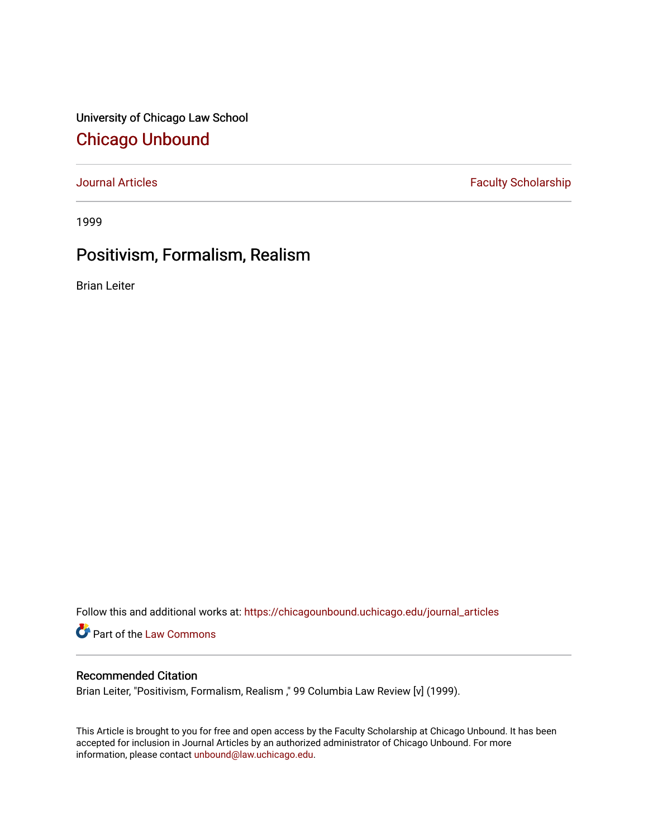University of Chicago Law School [Chicago Unbound](https://chicagounbound.uchicago.edu/)

[Journal Articles](https://chicagounbound.uchicago.edu/journal_articles) **Faculty Scholarship Faculty Scholarship** 

1999

# Positivism, Formalism, Realism

Brian Leiter

Follow this and additional works at: [https://chicagounbound.uchicago.edu/journal\\_articles](https://chicagounbound.uchicago.edu/journal_articles?utm_source=chicagounbound.uchicago.edu%2Fjournal_articles%2F3703&utm_medium=PDF&utm_campaign=PDFCoverPages) 

Part of the [Law Commons](http://network.bepress.com/hgg/discipline/578?utm_source=chicagounbound.uchicago.edu%2Fjournal_articles%2F3703&utm_medium=PDF&utm_campaign=PDFCoverPages)

# Recommended Citation

Brian Leiter, "Positivism, Formalism, Realism," 99 Columbia Law Review [v] (1999).

This Article is brought to you for free and open access by the Faculty Scholarship at Chicago Unbound. It has been accepted for inclusion in Journal Articles by an authorized administrator of Chicago Unbound. For more information, please contact [unbound@law.uchicago.edu](mailto:unbound@law.uchicago.edu).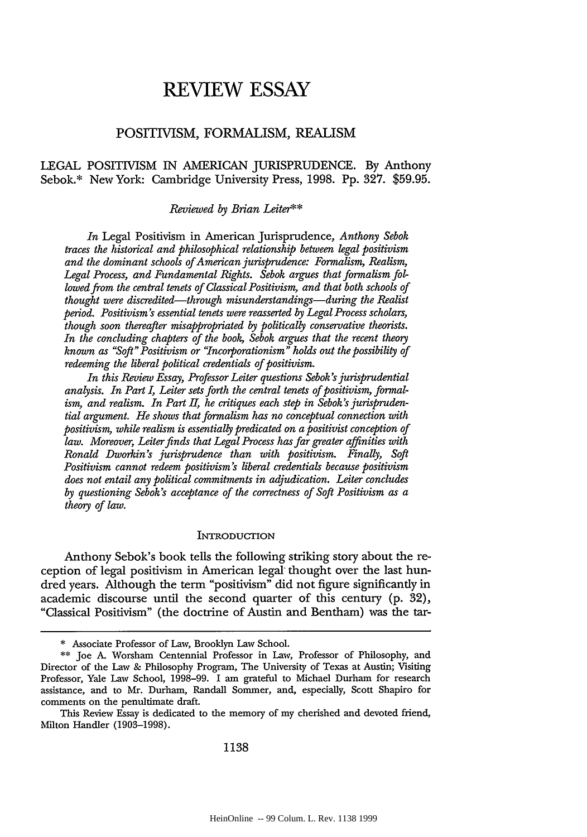# **REVIEW ESSAY**

### POSITIVISM, FORMALISM, REALISM

# LEGAL POSITIVISM IN AMERICAN JURISPRUDENCE. By Anthony Sebok.\* New York: Cambridge University Press, 1998. Pp. 327. \$59.95.

#### *Reviewed by Brian Leiter"*

*In* Legal Positivism in American Jurisprudence, *Anthony Sebok traces the historical and philosophical relationship between legal positivism and the dominant schools of American jurisprudence: Formalism, Realism, Legal Process, and Fundamental Rights. Sebok argues that formalism followed from the central tenets of Classical Positivism, and that both schools of thought were discredited-through misunderstandings-during the Realist period. Positivism's essential tenets were reasserted by Legal Process scholars, though soon thereafter misappropriated by politically conservative theorists. In the concluding chapters of the book, Sebok argues that the recent theory known as "Soft" Positivism or "Incorporationism" holds out the possibility of redeeming the liberal political credentials of positivism.*

*In this Review Essay, Professor Leiter questions Sebok's jurisprudential analysis. In Part I, Leiter sets forth the central tenets of positivism, formalism, and realism. In Part II, he critiques each step in Sebok's jurisprudential argument. He shows that formalism has no conceptual connection with positivism, while realism is essentially predicated on a positivist conception of law. Moreover, Leiter finds that Legal Process has far greater affinities with Ronald Dworkin's jurisprudence than with positivism. Finally, Soft Positivism cannot redeem positivism's liberal credentials because positivism does not entail any political commitments in adjudication. Leiter concludes by questioning Sebok's acceptance of the correctness of Soft Positivism as a theory of law.*

#### **INTRODUCTION**

Anthony Sebok's book tells the following striking story about the reception of legal positivism in American legal, thought over the last hundred years. Although the term "positivism" did not figure significantly in academic discourse until the second quarter of this century (p. 32), "Classical Positivism" (the doctrine of Austin and Bentham) was the tar-

*<sup>\*</sup>* Associate Professor of Law, Brooklyn Law School.

*<sup>\*\*</sup>* Joe A. Worsham Centennial Professor in Law, Professor of Philosophy, and Director of the Law & Philosophy Program, The University of Texas at Austin; Visiting Professor, Yale Law School, 1998-99. 1 am grateful to Michael Durham for research assistance, and to Mr. Durham, Randall Sommer, and, especially, Scott Shapiro for comments on the penultimate draft.

This Review Essay is dedicated to the memory of my cherished and devoted friend, Milton Handler (1903-1998).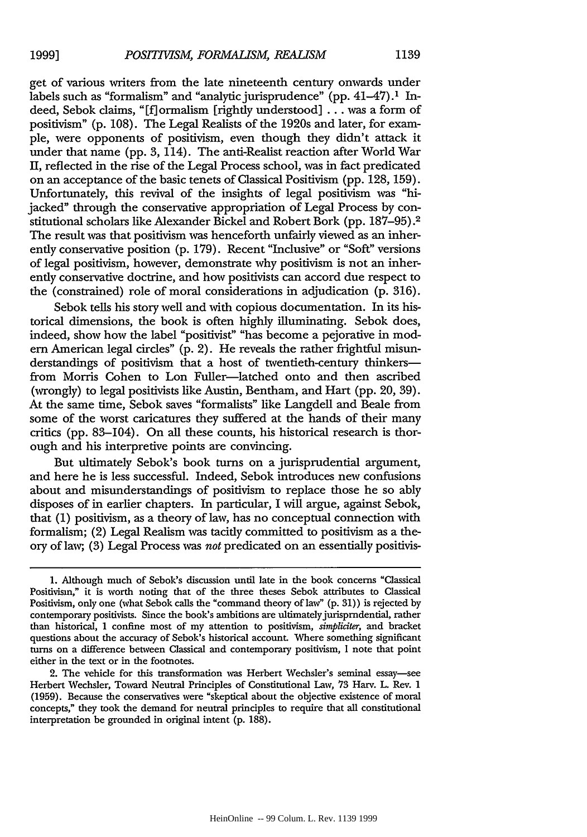get of various writers from the late nineteenth century onwards under labels such as "formalism" and "analytic jurisprudence" (pp.  $41-47$ ).<sup>1</sup> Indeed, Sebok claims, "[f]ormalism [rightly understood] ... was a form of positivism" (p. 108). The Legal Realists of the 1920s and later, for example, were opponents of positivism, even though they didn't attack it under that name (pp. 3, 114). The anti-Realist reaction after World War II, reflected in the rise of the Legal Process school, was in fact predicated on an acceptance of the basic tenets of Classical Positivism (pp. 128, 159). Unfortunately, this revival of the insights of legal positivism was "hijacked" through the conservative appropriation of Legal Process by constitutional scholars like Alexander Bickel and Robert Bork (pp. 187-95).2 The result was that positivism was henceforth unfairly viewed as an inherently conservative position (p. 179). Recent "Inclusive" or "Soft" versions of legal positivism, however, demonstrate why positivism is not an inherently conservative doctrine, and how positivists can accord due respect to the (constrained) role of moral considerations in adjudication (p. 316).

Sebok tells his story well and with copious documentation. In its historical dimensions, the book is often highly illuminating. Sebok does, indeed, show how the label "positivist" "has become a pejorative in modem American legal circles" (p. 2). He reveals the rather fiightful misunderstandings of positivism that a host of twentieth-century thinkersfrom Morris Cohen to Lon Fuller-latched onto and then ascribed (wrongly) to legal positivists like Austin, Bentham, and Hart (pp. 20, 39). At the same time, Sebok saves "formalists" like Langdell and Beale from some of the worst caricatures they suffered at the hands of their many critics (pp. 83-104). On all these counts, his historical research is thorough and his interpretive points are convincing.

But ultimately Sebok's book turns on a jurisprudential argument, and here he is less successful. Indeed, Sebok introduces new confusions about and misunderstandings of positivism to replace those he so ably disposes of in earlier chapters. In particular, I will argue, against Sebok, that **(1)** positivism, as a theory of law, has no conceptual connection with formalism; (2) Legal Realism was tacitly committed to positivism as a theory of law; (3) Legal Process was *not* predicated on an essentially positivis-

<sup>1.</sup> Although much of Sebok's discussion until late in the book concerns "Classical Positivism," it is worth noting that of the three theses Sebok attributes to Classical Positivism, only one (what Sebok calls the "command theory of law" (p. 31)) is rejected by contemporary positivists. Since the book's ambitions are ultimately jurisprudential, rather than historical, I confine most of my attention to positivism, *simpliciter,* and bracket questions about the accuracy of Sebok's historical account. Where something significant turns on a difference between Classical and contemporary positivism, I note that point either in the text or in the footnotes.

<sup>2.</sup> The vehicle for this transformation was Herbert Wechsler's seminal essay-see Herbert Wechsler, Toward Neutral Principles of Constitutional Law, 73 Harv. L. Rev. 1 (1959). Because the conservatives were "skeptical about the objective existence of moral concepts," they took the demand for neutral principles to require that all constitutional interpretation be grounded in original intent (p. 188).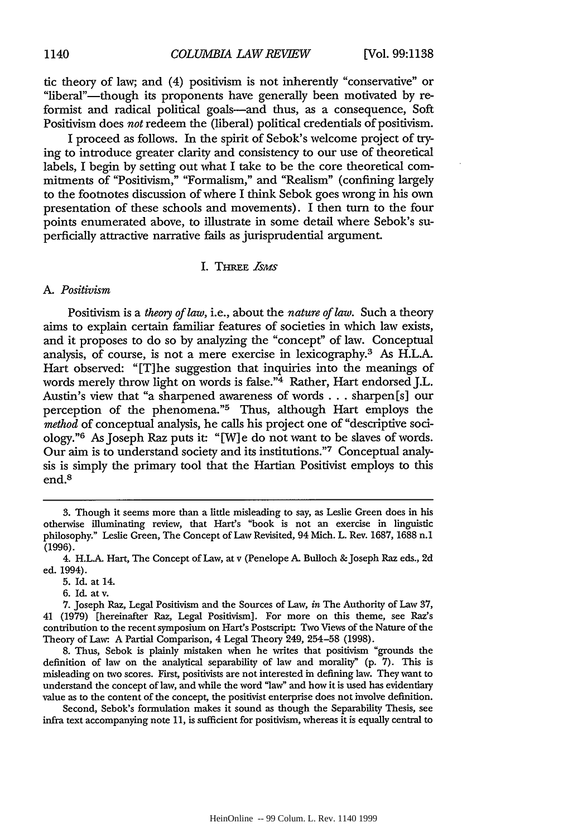tic theory of law; and (4) positivism is not inherently "conservative" or "liberal"—though its proponents have generally been motivated by reformist and radical political goals-and thus, as a consequence, Soft Positivism does *not* redeem the (liberal) political credentials of positivism.

I proceed as follows. In the spirit of Sebok's welcome project of trying to introduce greater clarity and consistency to our use of theoretical labels, I begin by setting out what I take to be the core theoretical commitments of "Positivism," "Formalism," and "Realism" (confining largely to the footnotes discussion of where I think Sebok goes wrong in his own presentation of these schools and movements). I then turn to the four points enumerated above, to illustrate in some detail where Sebok's superficially attractive narrative fails as jurisprudential argument.

### I. THREE *ISMS*

#### *A. Positivism*

Positivism is a *theory of law,* i.e., about the *nature of law.* Such a theory aims to explain certain familiar features of societies in which law exists, and it proposes to do so by analyzing the "concept" of law. Conceptual analysis, of course, is not a mere exercise in lexicography.3 As H.LA Hart observed: "[T]he suggestion that inquiries into the meanings of words merely throw light on words is false."<sup>4</sup> Rather, Hart endorsed I.L. Austin's view that "a sharpened awareness of words . . . sharpen[s] our perception of the phenomena."<sup>5</sup> Thus, although Hart employs the *method* of conceptual analysis, he calls his project one of "descriptive sociology."6 As Joseph Raz puts it: "[W]e do not want to be slaves of words. Our aim is to understand society and its institutions."7 Conceptual analysis is simply the primary tool that the Hartian Positivist employs to this end.8

6. **Id.** at v.

8. Thus, Sebok is plainly mistaken when he writes that positivism "grounds the definition of law on the analytical separability of law and morality" (p. 7). This is misleading on two scores. First, positivists are not interested in defining law. They want to understand the concept of law, and while the word "law" and how it is used has evidentiary value as to the content of the concept, the positivist enterprise does not involve definition.

Second, Sebok's formulation makes it sound as though the Separability Thesis, see infra text accompanying note 11, is sufficient for positivism, whereas it is equally central to

<sup>8.</sup> Though it seems more than a little misleading to say, as Leslie Green does in his otherwise illuminating review, that Hart's "book is not an exercise in linguistic philosophy." Leslie Green, The Concept of Law Revisited, 94 Mich. L. Rev. 1687, 1688 n.1 (1996).

<sup>4.</sup> H.LA Hart, The Concept of Law, at v (Penelope A. Bulloch &Joseph Raz eds., **2d** ed. 1994).

<sup>5.</sup> **Id.** at 14.

<sup>7.</sup> Joseph Raz, Legal Positivism and the Sources of Law, *in* The Authority of Law **37,** 41 (1979) [hereinafter Raz, Legal Positivism]. For more on this theme, see Raz's contribution to the recent symposium on Hart's Postscript: Two Views of the Nature of the Theory of Law: A Partial Comparison, 4 Legal Theory 249, 254-58 (1998).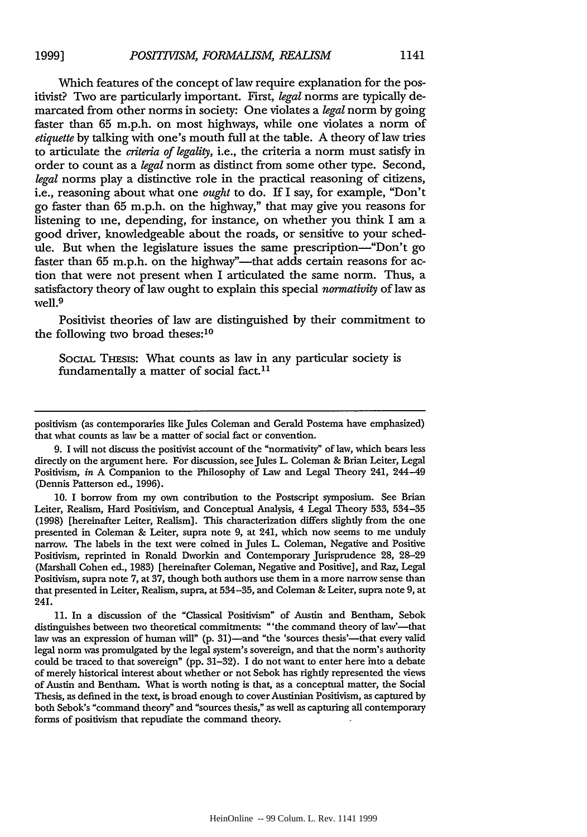Which features of the concept of law require explanation for the positivist? Two are particularly important. First, *legal* norms are typically demarcated from other norms in society: One violates a *legal* norm by going faster than 65 m.p.h. on most highways, while one violates a norm of *etiquette* by talking with one's mouth full at the table. A theory of law tries to articulate the *criteria of legality,* i.e., the criteria a norm must satisfy in order to count as a *legal* norm as distinct from some other type. Second, *legal* norms play a distinctive role in the practical reasoning of citizens, i.e., reasoning about what one *ought* to do. If I say, for example, "Don't go faster than 65 m.p.h. on the highway," that may give you reasons for listening to me, depending, for instance, on whether you think I am a good driver, knowledgeable about the roads, or sensitive to your schedule. But when the legislature issues the same prescription-"Don't go faster than 65 m.p.h. on the highway"-that adds certain reasons for action that were not present when I articulated the same norm. Thus, a satisfactory theory of law ought to explain this special *normativity* of law as well.<sup>9</sup>

Positivist theories of law are distinguished by their commitment to the following two broad theses:10

SOCIAL THESIS: What counts as law in any particular society is fundamentally a matter of social fact.<sup>11</sup>

positivism (as contemporaries like Jules Coleman and Gerald Postema have emphasized) that what counts as law be a matter of social fact or convention.

9. I will not discuss the positivist account of the "normativity" of law, which bears less directly on the argument here. For discussion, see Jules L. Coleman & Brian Leiter, Legal Positivism, *in* A Companion to the Philosophy of Law and Legal Theory 241, 244-49 (Dennis Patterson ed., 1996).

10. I borrow from my own contribution to the Postscript symposium. See Brian Leiter, Realism, Hard Positivism, and Conceptual Analysis, 4 Legal Theory 533, 534-35 (1998) [hereinafter Leiter, Realism]. This characterization differs slightly from the one presented in Coleman & Leiter, supra note 9, at 241, which now seems to me unduly narrow. The labels in the text were coined in Jules L. Coleman, Negative and Positive Positivism, reprinted in Ronald Dworkin and Contemporary Jurisprudence 28, 28-29 (Marshall Cohen ed., 1983) [hereinafter Coleman, Negative and Positive], and Raz, Legal Positivism, supra note 7, at **37,** though both authors use them in a more narrow sense than that presented in Leiter, Realism, supra, at 534-35, and Coleman & Leiter, supra note 9, at 241.

11. In a discussion of the "Classical Positivism" of Austin and Bentham, Sebok distinguishes between two theoretical commitments: "'the command theory of law'---that law was an expression of human will" (p. 31)—and "the 'sources thesis'—that every valid legal norm was promulgated by the legal system's sovereign, and that the norm's authority could be traced to that sovereign" (pp. 31-32). I do not want to enter here into a debate of merely historical interest about whether or not Sebok has rightly represented the views of Austin and Bentham. What is worth noting is that, as a conceptual matter, the Social Thesis, as defined in the text, is broad enough to cover Austinian Positivism, as captured by both Sebok's "command theory" and "sources thesis," as well as capturing all contemporary forms of positivism that repudiate the command theory.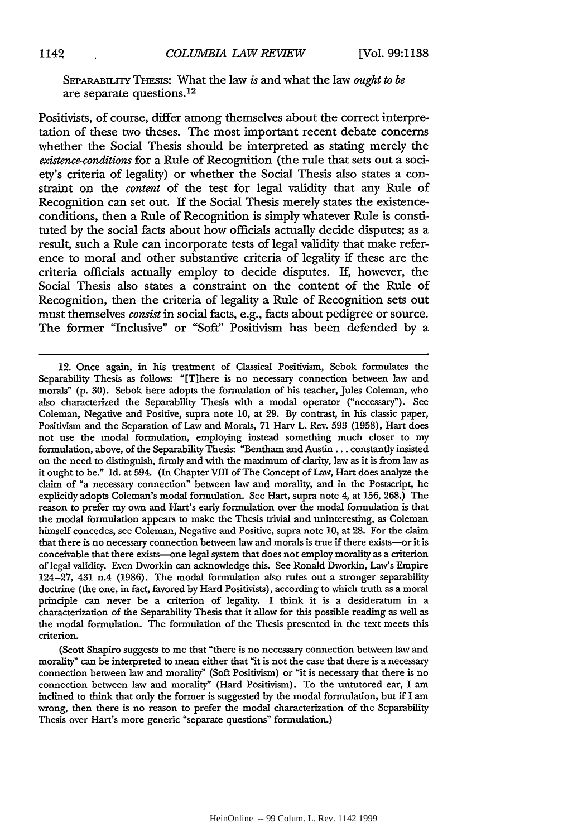SEPARABILITY THESIS: What the law *is* and what the law *ought to be* are separate questions. <sup>12</sup>

Positivists, of course, differ among themselves about the correct interpretation of these two theses. The most important recent debate concerns whether the Social Thesis should be interpreted as stating merely the *existence-conditions* for a Rule of Recognition (the rule that sets out a society's criteria of legality) or whether the Social Thesis also states a constraint on the *content* of the test for legal validity that any Rule of Recognition can set out. If the Social Thesis merely states the existenceconditions, then a Rule of Recognition is simply whatever Rule is constituted by the social facts about how officials actually decide disputes; as a result, such a Rule can incorporate tests of legal validity that make reference to moral and other substantive criteria of legality if these are the criteria officials actually employ to decide disputes. If, however, the Social Thesis also states a constraint on the content of the Rule of Recognition, then the criteria of legality a Rule of Recognition sets out must themselves *consist* in social facts, e.g., facts about pedigree or source. The former "Inclusive" or "Soft" Positivism has been defended by a

(Scott Shapiro suggests to me that "there is no necessary connection between law and morality" can be interpreted to mean either that "it is not the case that there is a necessary connection between law and morality" (Soft Positivism) or "it is necessary that there is no connection between law and morality" (Hard Positivism). To the untutored ear, I am inclined to think that only the former is suggested by the modal formulation, but if I am wrong, then there is no reason to prefer the modal characterization of the Separability Thesis over Hart's more generic "separate questions" formulation.)

<sup>12.</sup> Once again, in his treatment of Classical Positivism, Sebok formulates the Separability Thesis as follows: "[T]here is no necessary connection between law and morals" (p. 30). Sebok here adopts the formulation of his teacher, Jules Coleman, who also characterized the Separability Thesis with a modal operator ("necessary"). See Coleman, Negative and Positive, supra note **10,** at 29. By contrast, in his classic paper, Positivism and the Separation of Law and Morals, **71** Harv L. Rev. **593** (1958), Hart does not use the modal formulation, employing instead something much closer to my formulation, above, of the Separability Thesis: "Bentham and Austin **...** constantly insisted on the need to distinguish, firmly and with the maximum of clarity, law as it is from law as it ought to be." Id. at 594. (In Chapter VIII of The Concept of Law, Hart does analyze the claim of "a necessary connection" between law and morality, and in the Postscript, he explicitly adopts Coleman's modal formulation. See Hart, supra note 4, at 156, 268.) The reason to prefer my own and Hart's early formulation over the modal formulation is that the modal formulation appears to make the Thesis trivial and uninteresting, as Coleman himself concedes, see Coleman, Negative and Positive, supra note **10,** at 28. For the claim that there is no necessary connection between law and morals is true if there exists-or it is conceivable that there exists-one legal system that does not employ morality as a criterion of legal validity. Even Dworkin can acknowledge this. See Ronald Dworkin, Law's Empire 124-27, 431 n.4 (1986). The modal formulation also rules out a stronger separability doctrine (the one, in fact, favored by Hard Positivists), according to which truth as a moral principle can never be a criterion of legality. I think it is a desideratum in a characterization of the Separability Thesis that it allow for this possible reading as well as the modal formulation. The formulation of the Thesis presented in the text meets this criterion.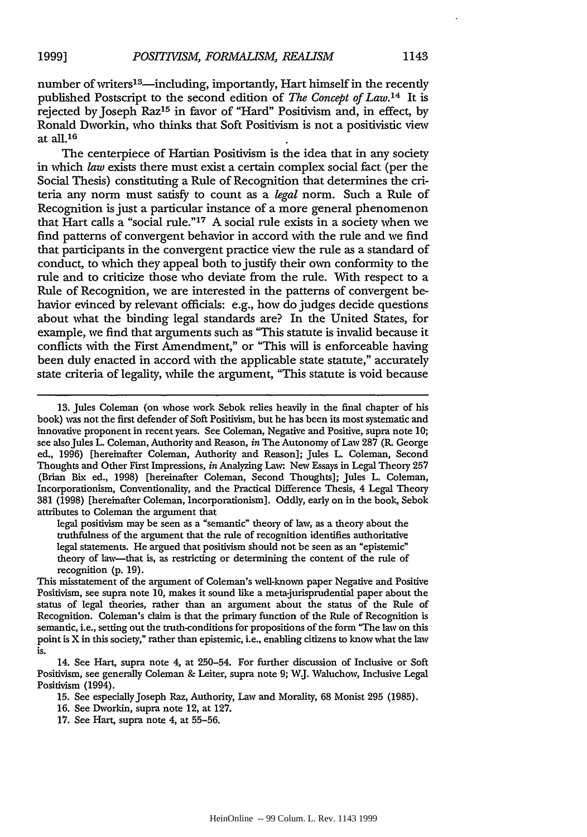number of writers<sup>13</sup>—including, importantly, Hart himself in the recently published Postscript to the second edition of *The Concept of Law.14* It is rejected by Joseph Raz15 in favor of "Hard" Positivism and, in effect, by Ronald Dworkin, who thinks that Soft Positivism is not a positivistic view at **all.<sup>16</sup>**

The centerpiece of Hartian Positivism is the idea that in any society in which *law* exists there must exist a certain complex social fact (per the Social Thesis) constituting a Rule of Recognition that determines the criteria any norm must satisfy to count as a *legal* norm. Such a Rule of Recognition is just a particular instance of a more general phenomenon that Hart calls a "social rule."<sup>17</sup> A social rule exists in a society when we find patterns of convergent behavior in accord with the rule and we find that participants in the convergent practice view the rule as a standard of conduct, to which they appeal both to justify their own conformity to the rule and to criticize those who deviate from the rule. With respect to a Rule of Recognition, we are interested in the patterns of convergent behavior evinced by relevant officials: e.g., how do judges decide questions about what the binding legal standards are? In the United States, for example, we find that arguments such as "This statute is invalid because it conflicts with the First Amendment," or "This will is enforceable having been duly enacted in accord with the applicable state statute," accurately state criteria of legality, while the argument, "This statute is void because

legal positivism may be seen as a "semantic" theory of law, as a theory about the truthfulness of the argument that the rule of recognition identifies authoritative legal statements. He argued that positivism should not be seen as an "epistemic" theory of law-that is, as restricting or determining the content of the rule of recognition **(p.** 19).

This misstatement of the argument of Coleman's well-known paper Negative and Positive Positivism, see supra note 10, makes it sound like a meta-jurisprudential paper about the status of legal theories, rather than an argument about the status of the Rule of Recognition. Coleman's claim is that the primary function of the Rule of Recognition is semantic, i.e., setting out the truth-conditions for propositions of the form "The law on this point is X in this society," rather than epistemic, i.e., enabling citizens to know what the law is.

14. See Hart, supra note 4, at 250-54. For further discussion of Inclusive or Soft Positivism, see generally Coleman & Leiter, supra note 9; W.J. Waluchow, Inclusive Legal Positivism (1994).

**15.** See especially Joseph Raz, Authority, Law and Morality, 68 Monist 295 (1985).

17. See Hart, supra note 4, at 55-56.

<sup>13.</sup> Jules Coleman (on whose work Sebok relies heavily in the final chapter of his book) was not the first defender of Soft Positivism, but he has been its most systematic and innovative proponent in recent years. See Coleman, Negative and Positive, supra note **10;** see also Jules L. Coleman, Authority and Reason, *in* The Autonomy of Law 287 (R. George ed., 1996) [hereinafter Coleman, Authority and Reason]; Jules L. Coleman, Second Thoughts and Other First Impressions, *in* Analyzing Law. New Essays in Legal Theory 257 (Brian Bin ed., 1998) [hereinafter Coleman, Second Thoughts]; Jules L. Coleman, Incorporationism, Conventionality, and the Practical Difference Thesis, 4 Legal Theory 381 (1998) [hereinafter Coleman, Incorporationism]. Oddly, early on in the book, Sebok attributes to Coleman the argument that

<sup>16.</sup> See Dworkin, supra note 12, at 127.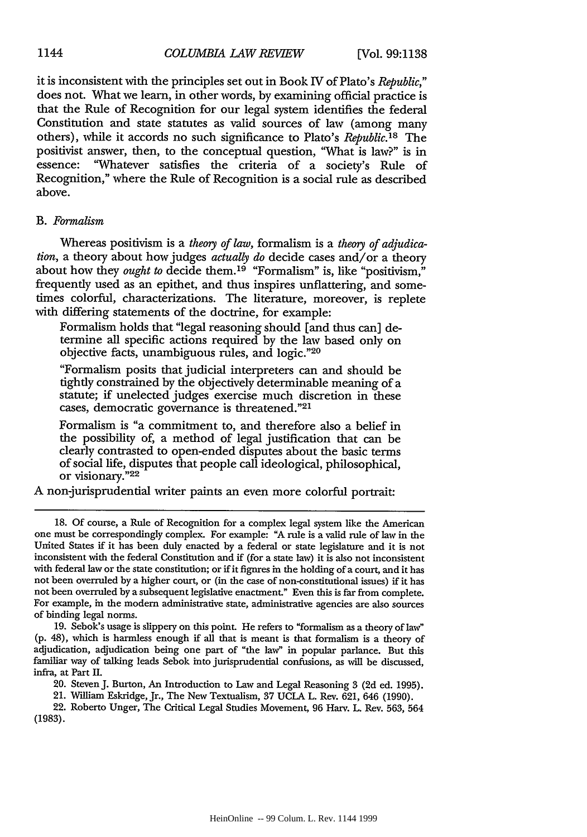it is inconsistent with the principles set out in Book IV of Plato's *Republic,"* does not. What we learn, in other words, by examining official practice is that the Rule of Recognition for our legal system identifies the federal Constitution and state statutes as valid sources of law (among many others), while it accords no such significance to Plato's *Republic.18* The positivist answer, then, to the conceptual question, "What is law?" is in essence: "Whatever satisfies the criteria of a society's Rule of Recognition," where the Rule of Recognition is a social rule as described above.

#### B. *Formalism*

Whereas positivism is a *theory of law,* formalism is a *theory of adjudication,* a theory about how judges *actually do* decide cases and/or a theory about how they *ought to* decide them.<sup>19</sup> "Formalism" is, like "positivism," frequently used as an epithet, and thus inspires unflattering, and sometimes colorful, characterizations. The literature, moreover, is replete with differing statements of the doctrine, for example:

Formalism holds that "legal reasoning should [and thus can] determine all specific actions required by the law based only on objective facts, unambiguous rules, and logic."<sup>20</sup>

"Formalism posits that judicial interpreters can and should be tightly constrained by the objectively determinable meaning of a statute; if unelected judges exercise much discretion in these cases, democratic governance is threatened."<sup>21</sup>

Formalism is "a commitment to, and therefore also a belief in the possibility of, a method of legal justification that can be clearly contrasted to open-ended disputes about the basic terms of social life, disputes that people call ideological, philosophical, or visionary."22

A nonjurisprudential writer paints an even more colorful portrait:

of binding legal norms. 19. Sebok's usage is slippery on this point. He refers to "formalism as a theory of law" (p. 48), which is harmless enough if all that is meant is that formalism is a theory of adjudication, adjudication being one part of "the law" in popular parlance. But this familiar way of talking leads Sebok into jurisprudential confusions, as will be discussed, infra, at Part II.

20. Steven J. Burton, An Introduction to Law and Legal Reasoning 3 (2d ed. 1995).

21. William Eskridge, Jr., The New Textualism, **37** UCLA L. Rev. 621, 646 (1990).

22. Roberto Unger, The Critical Legal Studies Movement, 96 Harv. L. Rev. 563, 564 (1983).

<sup>18.</sup> Of course, a Rule of Recognition for a complex legal system like the American one must be correspondingly complex. For example: "A rule is a valid rule of law in the United States if it has been duly enacted by a federal or state legislature and it is not inconsistent with the federal Constitution and if (for a state law) it is also not inconsistent with federal law or the state constitution; or if it figures in the holding of a court, and it has not been overruled by a higher court, or (in the case of non-constitutional issues) if it has not been overruled by a subsequent legislative enactment." Even this is far from complete. For example, in the modem administrative state, administrative agencies are also sources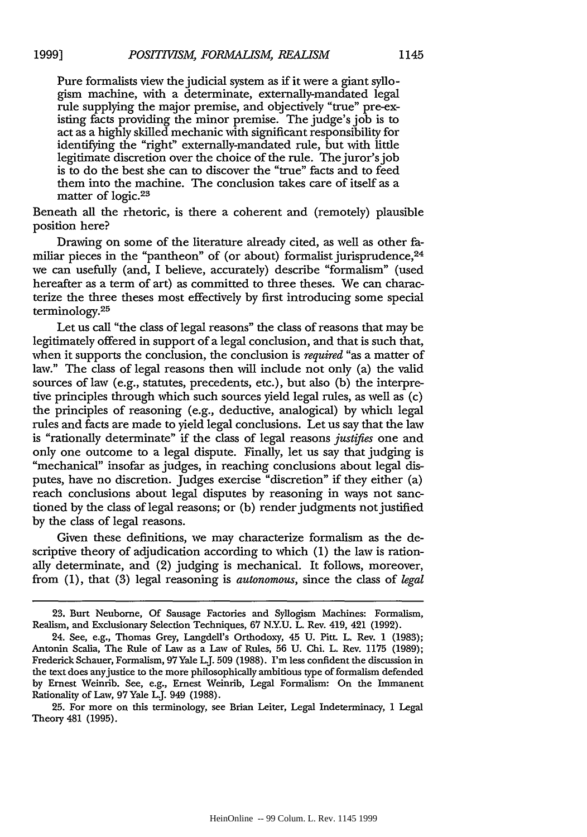Pure formalists view the judicial system as if it were a giant syllogism machine, with a determinate, externally-mandated legal rule supplying the major premise, and objectively "true" pre-existing facts providing the minor premise. The judge's **job** is to act as a highly skilled mechanic with significant responsibility for identifying the "right" externally-mandated rule, but with little legitimate discretion over the choice of the rule. The juror's job is to do the best she can to discover the "true" facts and to feed them into the machine. The conclusion takes care of itself as a matter **of** logic. <sup>23</sup>

Beneath all the rhetoric, is there a coherent and (remotely) plausible position here?

Drawing on some of the literature already cited, as well as other familiar pieces in the "pantheon" of (or about) formalist jurisprudence, 24 we can usefully (and, I believe, accurately) describe "formalism" (used hereafter as a term of art) as committed to three theses. We can characterize the three theses most effectively by first introducing some special terminology.<sup>25</sup>

Let us call "the class of legal reasons" the class of reasons that may be legitimately offered in support of a legal conclusion, and that is such that, when it supports the conclusion, the conclusion is *required* "as a matter of law." The class of legal reasons then will include not only (a) the valid sources of law (e.g., statutes, precedents, etc.), but also (b) the interpretive principles through which such sources yield legal rules, as well as (c) the principles of reasoning (e.g., deductive, analogical) by which legal rules and facts are made to yield legal conclusions. Let us say that the law is "rationally determinate" if the class of legal reasons *justifies* one and only one outcome to a legal dispute. Finally, let us say that judging is "mechanical" insofar as judges, in reaching conclusions about legal disputes, have no discretion. Judges exercise "discretion" if they either (a) reach conclusions about legal disputes by reasoning in ways not sanctioned by the class of legal reasons; or (b) render judgments not justified by the class of legal reasons.

Given these definitions, we may characterize formalism as the descriptive theory of adjudication according to which (1) the law is rationally determinate, and (2) judging is mechanical. It follows, moreover, from (1), that (3) legal reasoning is *autonomous,* since the class of *legal*

25. For more on this terminology, see Brian Leiter, Legal Indeterminacy, 1 Legal Theory 481 (1995).

<sup>23.</sup> Burt Neuborne, Of Sausage Factories and Syllogism Machines: Formalism, Realism, and Exclusionary Selection Techniques, 67 N.Y.U. L. Rev. 419, 421 (1992).

<sup>24.</sup> See, e.g., Thomas Grey, Langdell's Orthodoxy, 45 U. Pitt. L. Rev. 1 (1983); Antonin Scalia, The Rule of Law as a Law of Rules, **56** U. Chi. L. Rev. 1175 (1989); Frederick Schauer, Formalism, 97 Yale L.J. **509** (1988). I'm less confident the discussion in the text does any justice to the more philosophically ambitious type of formalism defended by Ernest Weinrib. See, e.g., Ernest Weinrib, Legal Formalism: On the Immanent Rationality of Law, 97 Yale LJ. 949 (1988).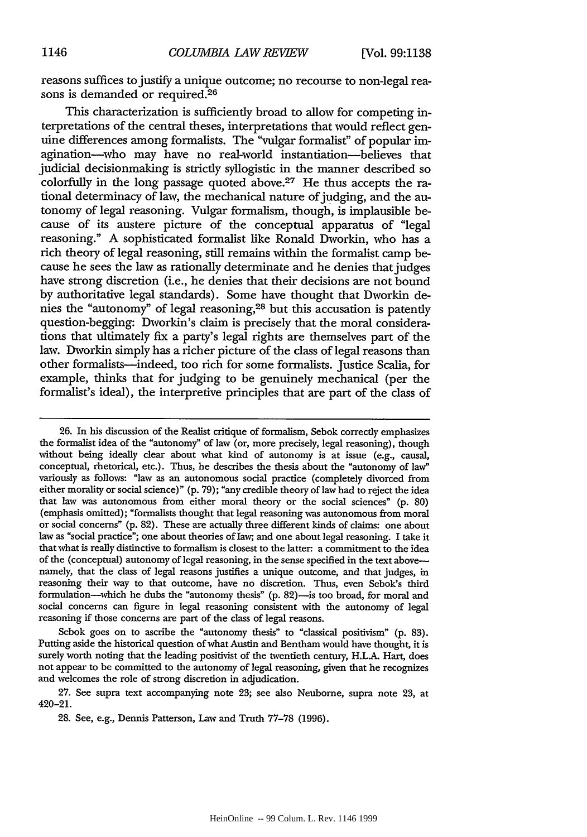reasons suffices to justify a unique outcome; no recourse to non-legal reasons is demanded or required.<sup>26</sup>

This characterization is sufficiently broad to allow for competing interpretations of the central theses, interpretations that would reflect genuine differences among formalists. The "vulgar formalist" of popular imagination-who may have no real-world instantiation-believes that judicial decisionmaking is strictly syllogistic in the manner described so colorfully in the long passage quoted above.<sup>27</sup> He thus accepts the rational determinacy of law, the mechanical nature of judging, and the autonomy of legal reasoning. Vulgar formalism, though, is implausible because of its austere picture of the conceptual apparatus of "legal reasoning." A sophisticated formalist like Ronald Dworkin, who has a rich theory of legal reasoning, still remains within the formalist camp because he sees the law as rationally determinate and he denies that judges have strong discretion (i.e., he denies that their decisions are not bound by authoritative legal standards). Some have thought that Dworkin denies the "autonomy" of legal reasoning,28 but this accusation is patently question-begging: Dworkin's claim is precisely that the moral considerations that ultimately fix a party's legal rights are themselves part of the law. Dworkin simply has a richer picture of the class of legal reasons than other formalists-indeed, too rich for some formalists. Justice Scalia, for example, thinks that for judging to be genuinely mechanical (per the formalist's ideal), the interpretive principles that are part of the class of

26. In his discussion of the Realist critique of formalism, Sebok correctly emphasizes the formalist idea of the "autonomy" of law (or, more precisely, legal reasoning), though without being ideally clear about what kind of autonomy is at issue (e.g., causal, conceptual, rhetorical, etc.). Thus, he describes the thesis about the "autonomy of law" variously as follows: "law as an autonomous social practice (completely divorced from either morality or social science)" (p. 79); "any credible theory of law had to reject the idea that law was autonomous from either moral theory or the social sciences" (p. 80) (emphasis omitted); "formalists thought that legal reasoning was autonomous from moral or social concerns" (p. 82). These are actually three different kinds of claims: one about law as "social practice"; one about theories of law; and one about legal reasoning. I take it that what is really distinctive to formalism is closest to the latter a commitment to the idea of the (conceptual) autonomy of legal reasoning, in the sense specified in the text abovenamely, that the class of legal reasons justifies a unique outcome, and that judges, in reasoning their way to that outcome, have no discretion. Thus, even Sebok's third formulation-which he dubs the "autonomy thesis" (p. 82)-is too broad, for moral and social concerns can figure in legal reasoning consistent with the autonomy of legal reasoning if those concerns are part of the class of legal reasons.

Sebok goes on to ascribe the "autonomy thesis" to "classical positivism" (p. 83). Putting aside the historical question of what Austin and Bentham would have thought, it is surely worth noting that the leading positivist of the twentieth century, H.LA. Hart, does not appear to be committed to the autonomy of legal reasoning, given that he recognizes and welcomes the role of strong discretion in adjudication.

27. See supra text accompanying note **23;** see also Neuborne, supra note 23, at 420-21.

28. See, e.g., Dennis Patterson, Law and Truth 77-78 (1996).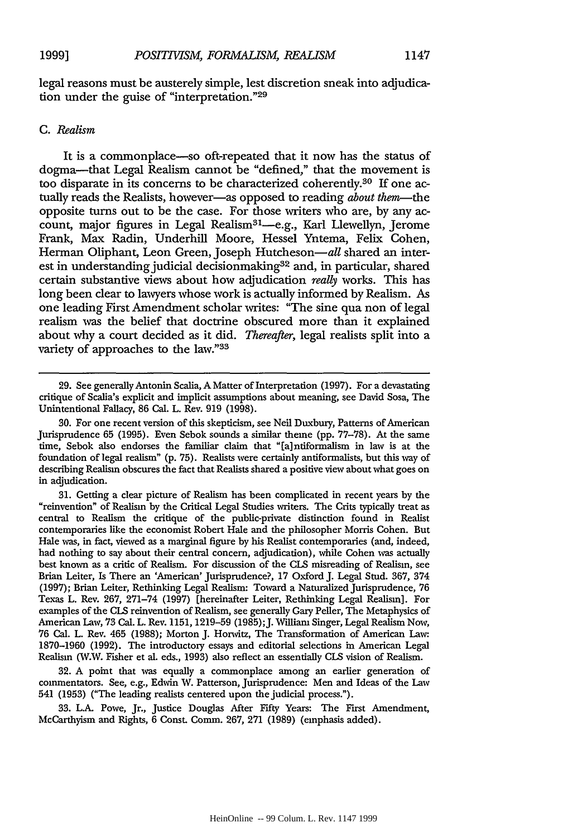legal reasons must be austerely simple, lest discretion sneak into adjudication under the guise of "interpretation."<sup>29</sup>

#### *C. Realism*

It is a commonplace-so oft-repeated that it now has the status of dogma-that Legal Realism cannot be "defined," that the movement is too disparate in its concerns to be characterized coherently.30 If one actually reads the Realists, however-as opposed to reading *about them-the* opposite turns out to be the case. For those writers who are, by any account, major figures in Legal Realism<sup>31</sup>-e.g., Karl Llewellyn, Jerome Frank, Max Radin, Underhill Moore, Hessel Yntema, Felix Cohen, Herman Oliphant, Leon Green, Joseph Hutcheson-all shared an interest in understanding judicial decisionmaking<sup>32</sup> and, in particular, shared certain substantive views about how adjudication *really* works. This has long been clear to lawyers whose work is actually informed by Realism. As one leading First Amendment scholar writes: "The sine qua non of legal realism was the belief that doctrine obscured more than it explained about why a court decided as it did. *Thereafter,* legal realists split into a variety of approaches to the law."<sup>33</sup>

31. Getting a clear picture of Realism has been complicated in recent years by the "reinvention" of Realism by the Critical Legal Studies writers. The Grits typically treat as central to Realism the critique of the public-private distinction found in Realist contemporaries like the economist Robert Hale and the philosopher Morris Cohen. But Hale was, in fact, viewed as a marginal figure by his Realist contemporaries (and, indeed, had nothing to say about their central concern, adjudication), while Cohen was actually best known as a critic of Realism. For discussion of the **CLS** misreading of Realism, see Brian Leiter, Is There an 'American' Jurisprudence?, 17 Oxford J. Legal Stud. 367, 374 (1997); Brian Leiter, Rethinking Legal Realism: Toward a Naturalized Jurisprudence, 76 Texas L. Rev. 267, 271-74 (1997) [hereinafter Leiter, Rethinking Legal Realism]. For examples of the **CLS** reinvention of Realism, see generally Gary Pelier, The Metaphysics of American Law, 73 Cal. L. Rev. 1151, 1219-59 (1985); J. Williani Singer, Legal Realism Now, 76 Cal. L. Rev. 465 (1988); Morton J. Horwitz, The Transformation of American Law: 1870-1960 (1992). The introductory essays and editorial selections in American Legal Realism (W.W. Fisher et al. eds., 1993) also reflect an essentially **CIS** vision of Realism.

32. A point that was equally a commonplace among an earlier generation of commentators. See, e.g., Edwin W. Patterson, Jurisprudence: Men and Ideas of the Law 541 (1953) ("The leading realists centered upon the judicial process.").

33. **LA** Powe, Jr., Justice Douglas After Fifty Years: The First Amendment, McCarthyism and Rights, 6 Const. Comm. 267, 271 (1989) (emphasis added).

<sup>29.</sup> See generally Antonin Scalia, A Matter of Interpretation (1997). For a devastating critique of Scalia's explicit and implicit assumptions about meaning, see David Sosa, The Unintentional Fallacy, 86 Cal. L. Rev. 919 (1998).

<sup>30.</sup> For one recent version of this skepticism, see Neil Duxbury, Patterns of American Jurisprudence 65 (1995). Even Sebok sounds a similar theme (pp. 77-78). At the same time, Sebok also endorses the familiar claim that "[a]ntiformalism in law is at the foundation of legal realism" (p. 75). Realists were certainly antiformalists, but this way of describing Realism obscures the fact that Realists shared a positive view about what goes on in adjudication.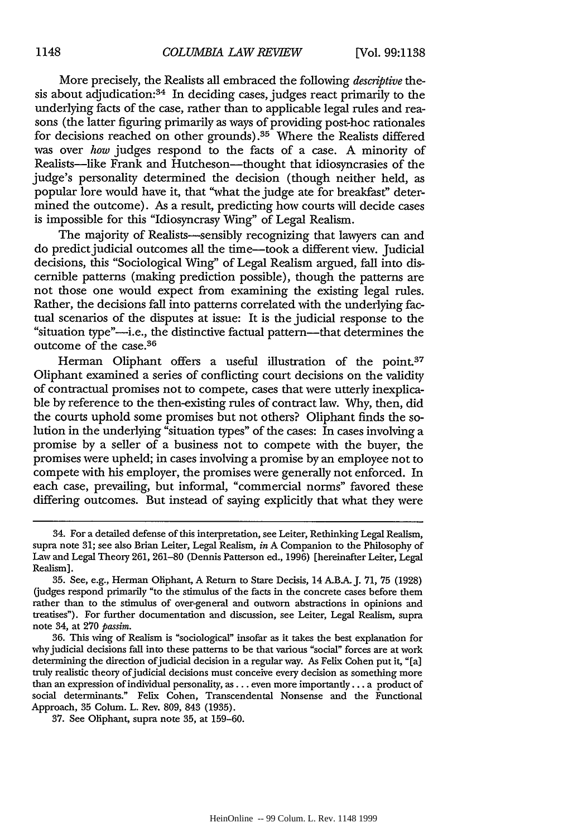More precisely, the Realists all embraced the following *descriptive the*sis about adjudication:<sup>34</sup> In deciding cases, judges react primarily to the underlying facts of the case, rather than to applicable legal rules and reasons (the latter figuring primarily as ways of providing post-hoc rationales for decisions reached on other grounds).<sup>35</sup> Where the Realists differed was over *how* judges respond to the facts of a case. A minority of Realists-like Frank and Hutcheson-thought that idiosyncrasies of the judge's personality determined the decision (though neither held, as popular lore would have it, that "what the judge ate for breakfast" determined the outcome). As a result, predicting how courts will decide cases is impossible for this "Idiosyncrasy Wing" of Legal Realism.

The majority of Realists—sensibly recognizing that lawyers can and do predict judicial outcomes all the time-took a different view. Judicial decisions, this "Sociological Wing" of Legal Realism argued, fall into discernible patterns (making prediction possible), though the patterns are not those one would expect from examining the existing legal rules. Rather, the decisions fall into patterns correlated with the underlying factual scenarios of the disputes at issue: It is the judicial response to the "situation type"-i.e., the distinctive factual pattern-that determines the outcome of the case.<sup>36</sup>

Herman Oliphant offers a useful illustration of the point.<sup>37</sup> Oliphant examined a series of conflicting court decisions on the validity of contractual promises not to compete, cases that were utterly inexplicable by reference to the then-existing rules of contract law. Why, then, did the courts uphold some promises but not others? Oliphant finds the solution in the underlying "situation types" of the cases: In cases involving a promise by a seller of a business not to compete with the buyer, the promises were upheld; in cases involving a promise by an employee not to compete with his employer, the promises were generally not enforced. In each case, prevailing, but informal, "commercial norms" favored these differing outcomes. But instead of saying explicitly that what they were

37. See Oliphant, supra note 35, at 159-60.

<sup>34.</sup> For a detailed defense of this interpretation, see Leiter, Rethinking Legal Realism, supra note **31;** see also Brian Leiter, Legal Realism, *in* A Companion to the Philosophy of Law and Legal Theory 261, 261-80 (Dennis Patterson ed., 1996) [hereinafter Leiter, Legal Realism].

<sup>35.</sup> See, e.g., Herman Oliphant, A Return to Stare Decisis, 14 A.B.A. J. *71,* 75 (1928) (judges respond primarily "to the stimulus of the facts in the concrete cases before them rather than to the stimulus of over-general and outworn abstractions in opinions and treatises"). For further documentation and discussion, see Leiter, Legal Realism, supra note 34, at **270** *passim.*

<sup>36.</sup> This wing of Realism is "sociological" insofar as it takes the best explanation for why judicial decisions fall into these patterns to be that various "social" forces are at work determining the direction of judicial decision in a regular way. As Felix Cohen put it, "[a] truly realistic theory of judicial decisions must conceive every decision as something more than an expression of individual personality, as... even more importantly... a product of social determinants." Felix Cohen, Transcendental Nonsense and the Functional Approach, 35 Colum. L. Rev. 809, 843 (1935).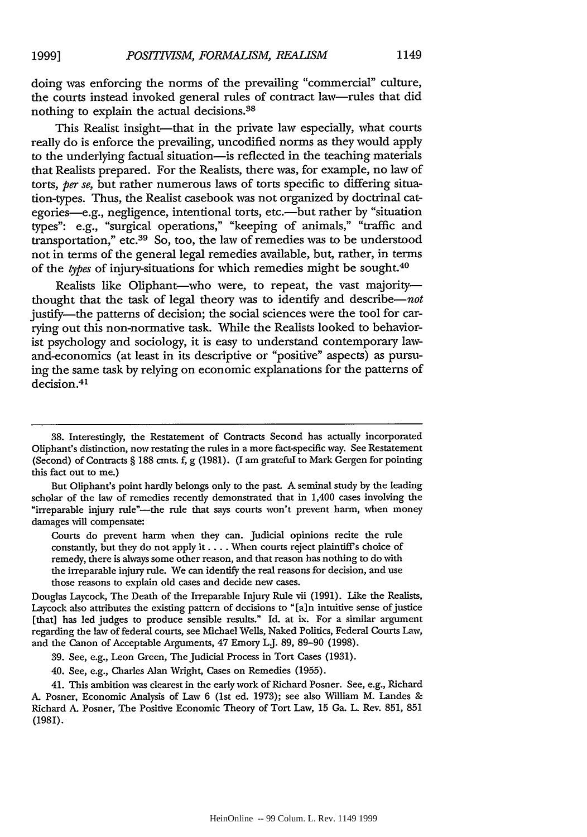doing was enforcing the norms of the prevailing "commercial" culture, the courts instead invoked general rules of contract law-rules that did nothing to explain the actual decisions.<sup>38</sup>

This Realist insight-that in the private law especially, what courts really do is enforce the prevailing, uncodified norms as they would apply to the underlying factual situation-is reflected in the teaching materials that Realists prepared. For the Realists, there was, for example, no law of torts, per *se,* but rather numerous laws of torts specific to differing situation-types. Thus, the Realist casebook was not organized by doctrinal categories-e.g., negligence, intentional torts, etc.-but rather by "situation types": e.g., "surgical operations," "keeping of animals," "traffic and transportation," etc.<sup>39</sup> So, too, the law of remedies was to be understood not in terms of the general legal remedies available, but, rather, in terms of the types of injury-situations for which remedies might be sought.<sup>40</sup>

Realists like Oliphant-who were, to repeat, the vast majoritythought that the task of legal theory was to identify and describe-not justify—the patterns of decision; the social sciences were the tool for carrying out this non-normative task. While the Realists looked to behaviorist psychology and sociology, it is easy to understand contemporary lawand-economics (at least in its descriptive or "positive" aspects) as pursuing the same task by relying on economic explanations for the patterns of decision.<sup>41</sup>

Courts do prevent harm when they can. Judicial opinions recite the rule constantly, but they do not apply it .... When courts reject plaintiff's choice of remedy, there is always some other reason, and that reason has nothing to do with the irreparable injury rule. We can identify the real reasons for decision, and use those reasons to explain old cases and decide new cases.

Douglas Laycock, The Death of the Irreparable Injury Rule vii (1991). Like the Realists, Laycock also attributes the existing pattern of decisions to "[a]n intuitive sense of justice [that] has led judges to produce sensible results." Id. at ix. For a similar argument regarding the law of federal courts, see Michael Wells, Naked Politics, Federal Courts Law, and the Canon of Acceptable Arguments, 47 Emory LJ. 89, 89-90 (1998).

- 39. See, e.g., Leon Green, The Judicial Process in Tort Cases (1931).
- 40. See, e.g., Charles Alan Wright, Cases on Remedies (1955).

41. This ambition was clearest in the early work of Richard Posner. See, e.g., Richard A. Posner, Economic Analysis of Law 6 (1st ed. 1973); see also William M. Landes & Richard A. Posner, The Positive Economic Theory of Tort Law, 15 Ga. L. Rev. 851, 851 (1981).

<sup>38.</sup> Interestingly, the Restatement of Contracts Second has actually incorporated Oliphant's distinction, now restating the rules in a more fact-specific way. See Restatement (Second) of Contracts § 188 cmts. f, g (1981). (I am grateful to Mark Gergen for pointing this fact out to me.)

But Oliphant's point hardly belongs only to the past. A seminal study by the leading scholar of the law of remedies recently demonstrated that in 1,400 cases involving the "irreparable injury rule"-the rule that says courts won't prevent harm, when money damages will compensate: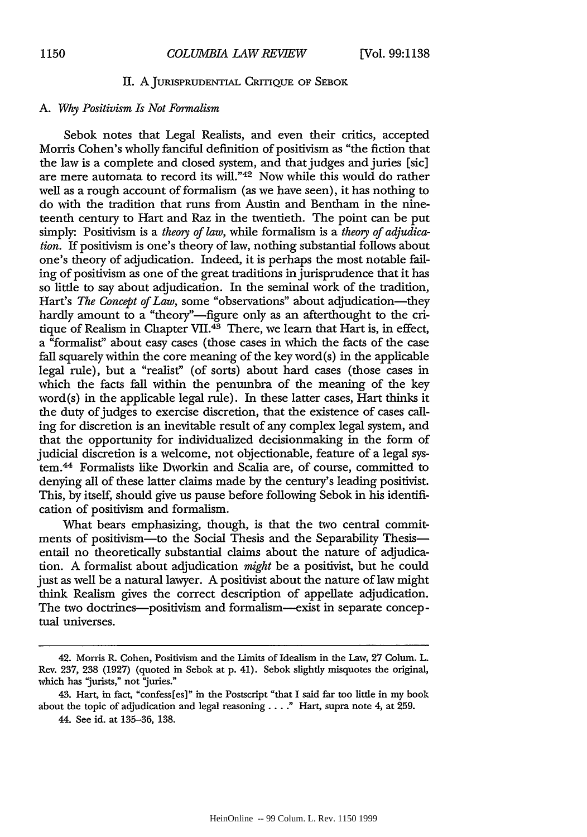#### **II.** A JURISPRUDENTIAL **CRITIQUE** OF SEBOK

#### **A.** *Why Positivism Is Not Formalism*

Sebok notes that Legal Realists, and even their critics, accepted Morris Cohen's wholly fanciful definition of positivism as "the fiction that the law is a complete and closed system, and that judges and juries [sic] are mere automata to record its will."<sup>42</sup> Now while this would do rather well as a rough account of formalism (as we have seen), it has nothing to do with the tradition that runs from Austin and Bentham in the nineteenth century to Hart and Raz in the twentieth. The point can be put simply: Positivism is a *theory of law,* while formalism is a *theory of adjudication.* If positivism is one's theory of law, nothing substantial follows about one's theory of adjudication. Indeed, it is perhaps the most notable failing of positivism as one of the great traditions in jurisprudence that it has so little to say about adjudication. In the seminal work of the tradition, Hart's *The Concept of Law*, some "observations" about adjudication-they hardly amount to a "theory"---figure only as an afterthought to the critique of Realism in Chapter VII.<sup>43</sup> There, we learn that Hart is, in effect, a "formalist" about easy cases (those cases in which the facts of the case fall squarely within the core meaning of the key word(s) in the applicable legal rule), but a "realist" (of sorts) about hard cases (those cases in which the facts fall within the penumbra of the meaning of the key word(s) in the applicable legal rule). In these latter cases, Hart thinks it the duty of judges to exercise discretion, that the existence of cases calling for discretion is an inevitable result of any complex legal system, and that the opportunity for individualized decisionmaking in the form of judicial discretion is a welcome, not objectionable, feature of a legal system.44 Formalists like Dworkin and Scalia are, of course, committed to denying all of these latter claims made by the century's leading positivist. This, by itself, should give us pause before following Sebok in his identification of positivism and formalism.

What bears emphasizing, though, is that the two central commitments of positivism-to the Social Thesis and the Separability Thesisentail no theoretically substantial claims about the nature of adjudication. A formalist about adjudication *might* be a positivist, but he could just as well be a natural lawyer. A positivist about the nature of lav might think Realism gives the correct description of appellate adjudication. The two doctrines-positivism and formalism--exist in separate conceptual universes.

<sup>42.</sup> Morris R. Cohen, Positivism and the Limits of Idealism in the Law, 27 Colum. L. Rev. 237, **238** (1927) (quoted in Sebok at p. 41). Sebok slightly misquotes the original, which has "jurists," not "juries."

<sup>43.</sup> Hart, in fact, "confess[es]" in the Postscript "that I said far too little in my book about the topic of adjudication and legal reasoning **... ."** Hart, supra note 4, at **259.**

<sup>44.</sup> See id. at 135-36, 138.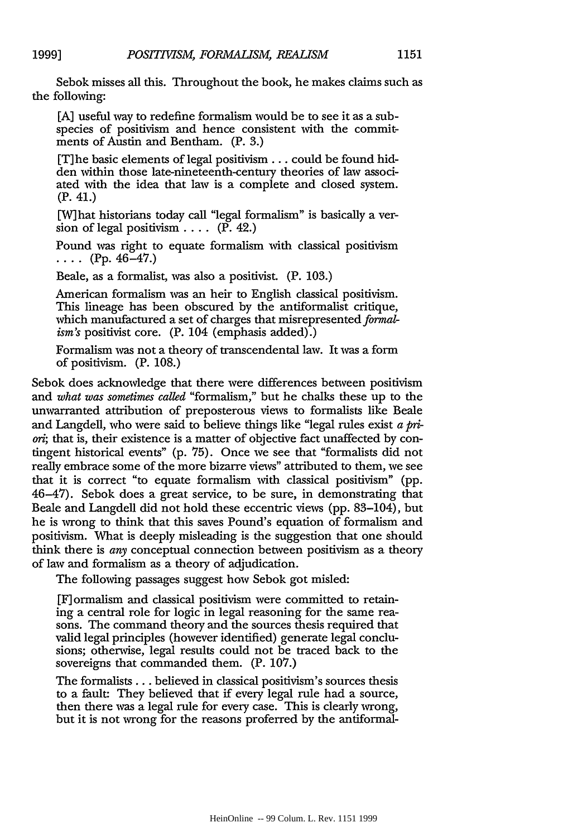Sebok misses all this. Throughout the book, he makes claims such as the following:

[A] useful way to redefine formalism would be to see it as a subspecies of positivism and hence consistent with the commitments of Austin and Bentham. (P. 3.)

[T] he basic elements of legal positivism... could be found hidden within those late-nineteenth-century theories of law associated with the idea that law is a complete and closed system. (P. 41.)

[W]hat historians today call "legal formalism" is basically a version of legal positivism  $\ldots$  (P. 42.)

Pound was right to equate formalism with classical positivism **....** (Pp. 46-47.)

Beale, as a formalist, was also a positivist. (P. 103.)

American formalism was an heir to English classical positivism. This lineage has been obscured by the antiformalist critique, which manufactured a set of charges that misrepresented *formalism's* positivist core. (P. 104 (emphasis added).)

Formalism was not a theory of transcendental law. It was a form of positivism. (P. 108.)

Sebok does acknowledge that there were differences between positivism and *what was sometimes called* "formalism," but he chalks these up to the unwarranted attribution of preposterous views to formalists like Beale and Langdell, who were said to believe things like "legal rules exist *a priori*; that is, their existence is a matter of objective fact unaffected by contingent historical events" (p. 75). Once we see that "formalists did not really embrace some of the more bizarre views" attributed to them, we see that it is correct "to equate formalism with classical positivism" (pp. 46-47). Sebok does a great service, to be sure, in demonstrating that Beale and Langdell did not hold these eccentric views (pp. 83-104), but he is wrong to think that this saves Pound's equation of formalism and positivism. What is deeply misleading is the suggestion that one should think there is *any* conceptual connection between positivism as a theory of law and formalism as a theory of adjudication.

The following passages suggest how Sebok got misled:

[F]ormalism and classical positivism were committed to retaining a central role for logic in legal reasoning for the same reasons. The command theory and the sources thesis required that valid legal principles (however identified) generate legal conclusions; otherwise, legal results could not be traced back to the sovereigns that commanded them. (P. 107.)

The formalists... believed in classical positivism's sources thesis to a fault: They believed that if every legal rule had a source, then there was a legal rule for every case. This is clearly wrong, but it is not wrong for the reasons proferred by the antiformal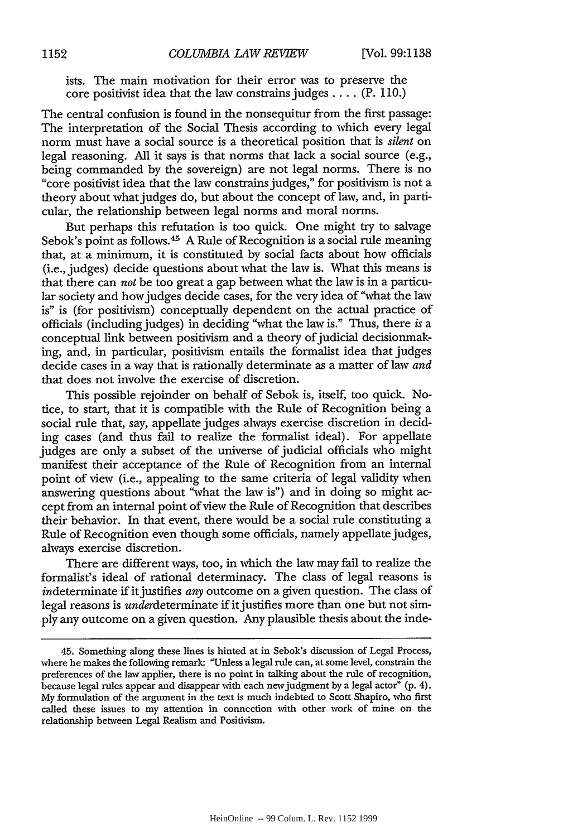ists. The main motivation for their error was to preserve the core positivist idea that the law constrains judges  $\dots$ . (P. 110.)

The central confusion is found in the nonsequitur from the first passage: The interpretation of the Social Thesis according to which every legal norm must have a social source is a theoretical position that is *silent* on legal reasoning. All it says is that norms that lack a social source (e.g., being commanded by the sovereign) are not legal norms. There is no "core positivist idea that the law constrains judges," for positivism is not a theory about what judges do, but about the concept of law, and, in particular, the relationship between legal norms and moral norms.

But perhaps this refutation is too quick. One might try to salvage Sebok's point as follows.<sup>45</sup> A Rule of Recognition is a social rule meaning that, at a minimum, it is constituted by social facts about how officials (i.e., judges) decide questions about what the law is. What this means is that there can *not* be too great a gap between what the law is in a particular society and how judges decide cases, for the very idea of "what the law is" is (for positivism) conceptually dependent on the actual practice of officials (including judges) in deciding "what the law is." Thus, there *is* a conceptual link between positivism and a theory of judicial decisionmaking, and, in particular, positivism entails the formalist idea that judges decide cases in a way that is rationally determinate as a matter of law *and* that does not involve the exercise of discretion.

This possible rejoinder on behalf of Sebok is, itself, too quick. Notice, to start, that it is compatible with the Rule of Recognition being a social rule that, say, appellate judges always exercise discretion in deciding cases (and thus fall to realize the formalist ideal). For appellate judges are only a subset of the universe of judicial officials who might manifest their acceptance of the Rule of Recognition from an internal point of view (i.e., appealing to the same criteria of legal validity when answering questions about "what the law is") and in doing so might accept from an internal point of view the Rule of Recognition that describes their behavior. In that event, there would be a social rule constituting a Rule of Recognition even though some officials, namely appellate judges, always exercise discretion.

There are different ways, too, in which the law may fail to realize the formalist's ideal of rational determinacy. The class of legal reasons is indeterminate if it justifies *any* outcome on a given question. The class of legal reasons is *under*determinate if it justifies more than one but not simply any outcome on a given question. Any plausible thesis about the inde-

<sup>45.</sup> Something along these lines is hinted at in Sebok's discussion of Legal Process, where he makes the following remark: "Unless a legal rule can, at some level, constrain the preferences of the law applier, there is no point in talking about the rule of recognition, because legal rules appear and disappear with each new judgment by a legal actor" (p. 4). My formulation of the argument in the text is much indebted to Scott Shapiro, who first called these issues to my attention in connection with other work of mine on the relationship between Legal Realism and Positivism.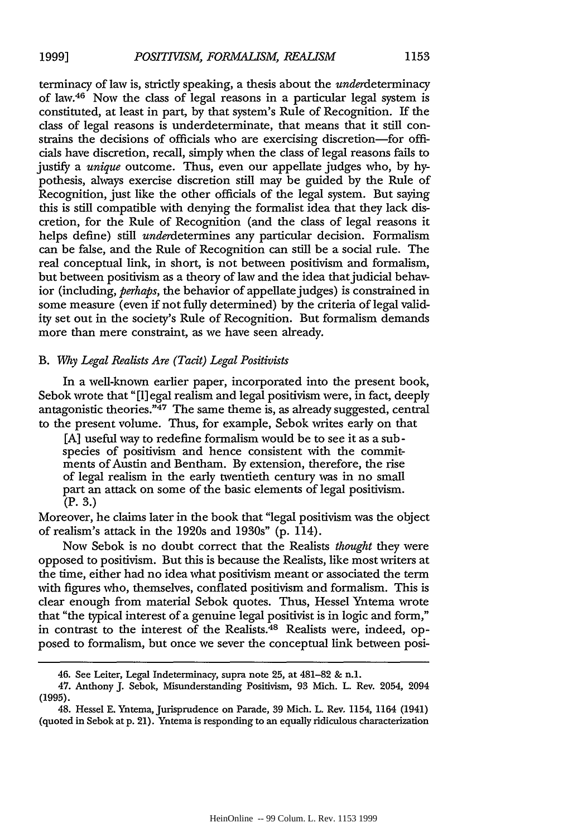terminacy of law is, strictly speaking, a thesis about the underdeterminacy of law.46 Now the class of legal reasons in a particular legal system is constituted, at least in part, by that system's Rule of Recognition. If the class of legal reasons is underdeterminate, that means that it still constrains the decisions of officials who are exercising discretion-for officials have discretion, recall, simply when the class of legal reasons fails to justify a *unique* outcome. Thus, even our appellate judges who, by hypothesis, always exercise discretion still may be guided by the Rule of Recognition, just like the other officials of the legal system. But saying this is still compatible with denying the formalist idea that they lack discretion, for the Rule of Recognition (and the class of legal reasons it helps define) still *under*determines any particular decision. Formalism can be false, and the Rule of Recognition can still be a social rule. The real conceptual link, in short, is not between positivism and formalism, but between positivism as a theory of law and the idea that judicial behavior (including, *perhaps,* the behavior of appellate judges) is constrained in some measure (even if not fully determined) by the criteria of legal validity set out in the society's Rule of Recognition. But formalism demands more than mere constraint, as we have seen already.

#### B. *Why Legal Realists Are (Tacit) Legal Positivists*

In a well-known earlier paper, incorporated into the present book, Sebok wrote that "[1] egal realism and legal positivism were, in fact, deeply antagonistic theories." $47$  The same theme is, as already suggested, central to the present volume. Thus, for example, Sebok writes early on that

[A] useful way to redefine formalism would be to see it as a sub species of positivism and hence consistent with the commitments of Austin and Bentham. By extension, therefore, the rise of legal realism in the early twentieth century was in no small part an attack on some of the basic elements of legal positivism. (P. **3.)**

Moreover, he claims later in the book that "legal positivism was the object of realism's attack in the 1920s and 1930s" (p. 114).

Now Sebok is no doubt correct that the Realists *thought* they were opposed to positivism. But this is because the Realists, like most writers at the time, either had no idea what positivism meant or associated the term with figures who, themselves, conflated positivism and formalism. This is clear enough from material Sebok quotes. Thus, Hessel Yntema wrote that "the typical interest of a genuine legal positivist is in logic and form," in contrast to the interest of the Realists. 48 Realists were, indeed, opposed to formalism, but once we sever the conceptual link between posi-

<sup>46.</sup> See Leiter, Legal Indeterminacy, supra note **25,** at 481-82 & n.l.

<sup>47.</sup> Anthony J. Sebok, Misunderstanding Positivism, 93 Mich. L. Rev. 2054, 2094 (1995).

<sup>48.</sup> Hessel E. Yntema, Jurisprudence on Parade, 39 Mich. L. Rev. 1154, 1164 (1941) (quoted in Sebok at p. 21). Yntema is responding to an equally ridiculous characterization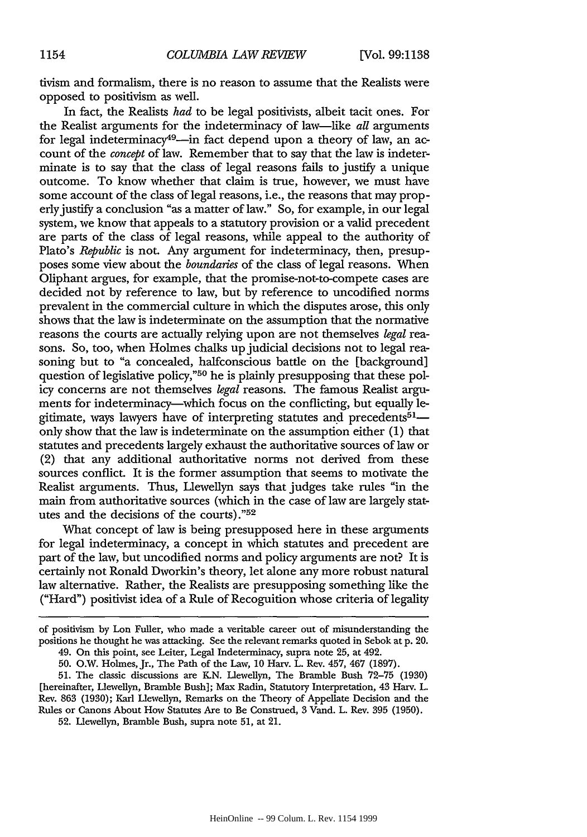tivism and formalism, there is no reason to assume that the Realists were opposed to positivism as well.

In fact, the Realists *had* to be legal positivists, albeit tacit ones. For the Realist arguments for the indeterminacy of law-like *all* arguments for legal indeterminacy<sup>49</sup>—in fact depend upon a theory of law, an account of the concept of law. Remember that to say that the law is indeterminate is to say that the class of legal reasons fails to justify a unique outcome. To know whether that claim is true, however, we must have some account of the class of legal reasons, i.e., the reasons that may properly justify a conclusion "as a matter of law." So, for example, in our legal system, we know that appeals to a statutory provision or a valid precedent are parts of the class of legal reasons, while appeal to the authority of Plato's *Republic* is not. Any argument for indeterminacy, then, presupposes some view about the *boundaries* of the class of legal reasons. When Oliphant argues, for example, that the promise-not-to-compete cases are decided not by reference to law, but by reference to uncodified norms prevalent in the commercial culture in which the disputes arose, this only shows that the law is indeterminate on the assumption that the normative reasons the courts are actually relying upon are not themselves *legal* reasons. So, too, when Holmes chalks up judicial decisions not to legal reasoning but to "a concealed, halfconscious battle on the [background] question of legislative policy,"<sup>50</sup> he is plainly presupposing that these policy concerns are not themselves *legal* reasons. The famous Realist arguments for indeterminacy—which focus on the conflicting, but equally legitimate, ways lawyers have of interpreting statutes and precedents<sup>51</sup> only show that the law is indeterminate on the assumption either **(1)** that statutes and precedents largely exhaust the authoritative sources of law or (2) that any additional authoritative norms not derived from these sources conflict. It is the former assumption that seems to motivate the Realist arguments. Thus, Llewellyn says that judges take rules "in the main from authoritative sources (which in the case of law are largely statutes and the decisions of the courts). **"52**

What concept of law is being presupposed here in these arguments for legal indeterminacy, a concept in which statutes and precedent are part of the law, but uncodified norms and policy arguments are not? It is certainly not Ronald Dworkin's theory, let alone any more robust natural law alternative. Rather, the Realists are presupposing something like the ("Hard") positivist idea of a Rule of Recognition whose criteria of legality

**52.** Llewellyn, Bramble Bush, supra note 51, at 21.

of positivism by Lon Fuller, who made a veritable career out of misunderstanding the positions he thought he was attacking. See the relevant remarks quoted in Sebok at p. 20. 49. On this point, see Leiter, Legal Indeterminacy, supra note 25, at 492.

<sup>50.</sup> O.W. Holmes, Jr., The Path of the Law, 10 Harv. L. Rev. 457, 467 (1897).

<sup>51.</sup> The classic discussions are K.N. Llewellyn, The Bramble Bush 72-75 (1930) [hereinafter, Llewellyn, Bramble Bush]; Max Radin, Statutory Interpretation, 43 Harv. L. Rev. 863 (1930); Karl Llewellyn, Remarks on the Theory of Appellate Decision and the Rules or Canons About How Statutes Are to Be Construed, **3** Vand. L. Rev. 395 (1950).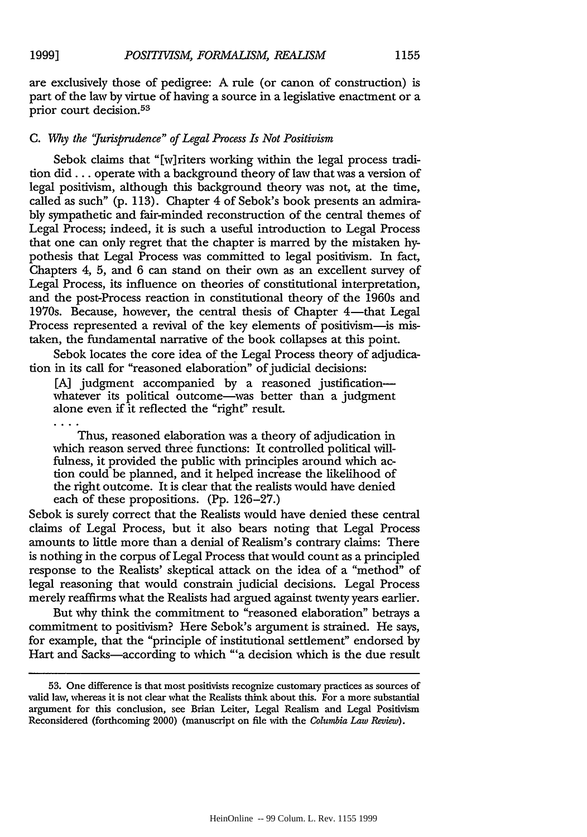are exclusively those of pedigree: A rule (or canon of construction) is part of the law by virtue of having a source in a legislative enactment or a prior court decision.<sup>53</sup>

# C. *Why the 'Jurisprudence" of Legal Process Is Not Positivism*

Sebok claims that "[w]riters working within the legal process tradition did... operate with a background theory of law that was a version of legal positivism, although this background theory was not, at the time, called as such" (p. 113). Chapter 4 of Sebok's book presents an admirably sympathetic and fair-minded reconstruction of the central themes of Legal Process; indeed, it is such a useful introduction to Legal Process that one can only regret that the chapter is marred by the mistaken hypothesis that Legal Process was committed to legal positivism. In fact, Chapters 4, 5, and 6 can stand on their own as an excellent survey of Legal Process, its influence on theories of constitutional interpretation, and the post-Process reaction in constitutional theory of the 1960s and 1970s. Because, however, the central thesis of Chapter 4—that Legal Process represented a revival of the key elements of positivism-is mistaken, the fundamental narrative of the book collapses at this point.

Sebok locates the core idea of the Legal Process theory of adjudication in its call for "reasoned elaboration" of judicial decisions:

[A] judgment accompanied by a reasoned justificationwhatever its political outcome-was better than a judgment alone even if it reflected the "right" result.

Thus, reasoned elaboration was a theory of adjudication in which reason served three functions: It controlled political willfulness, it provided the public with principles around which action could be planned, and it helped increase the likelihood of the right outcome. It is clear that the realists would have denied each of these propositions. (Pp. 126-27.)

Sebok is surely correct that the Realists would have denied these central claims of Legal Process, but it also bears noting that Legal Process amounts to little more than a denial of Realism's contrary claims: There is nothing in the corpus of Legal Process that would count as a principled response to the Realists' skeptical attack on the idea of a "method" of legal reasoning that would constrain judicial decisions. Legal Process merely reaffirms what the Realists had argued against twenty years earlier.

But why think the commitment to "reasoned elaboration" betrays a commitment to positivism? Here Sebok's argument is strained. He says, for example, that the "principle of institutional settlement" endorsed by Hart and Sacks-according to which "'a decision which is the due result

**<sup>53.</sup>** One difference is that most positivists recognize customary practices as sources of valid law, whereas it is not clear what the Realists think about this. For a more substantial argument for this conclusion, see Brian Leiter, Legal Realism and Legal Positivism Reconsidered (forthcoming 2000) (manuscript on file with the *Columbia Law Review).*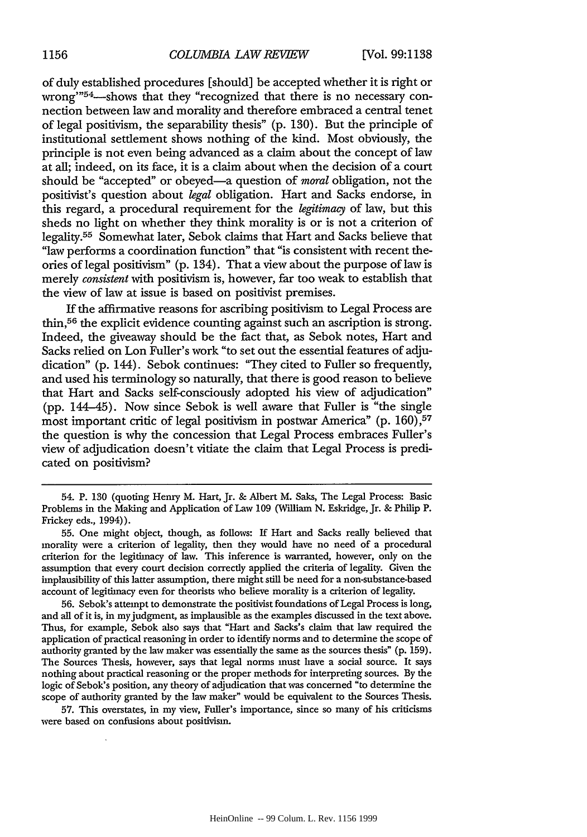of duly established procedures [should] be accepted whether it is right or wrong"<sup>54</sup>-shows that they "recognized that there is no necessary connection between law and morality and therefore embraced a central tenet of legal positivism, the separability thesis" (p. 130). But the principle of institutional settlement shows nothing of the kind. Most obviously, the principle is not even being advanced as a claim about the concept of law at all; indeed, on its face, it is a claim about when the decision of a court should be "accepted" or obeyed-a question of *moral* obligation, not the positivist's question about *legal* obligation. Hart and Sacks endorse, in this regard, a procedural requirement for the *legitimacy* of law, but this sheds no light on whether they think morality is or is not a criterion of legality.<sup>55</sup> Somewhat later, Sebok claims that Hart and Sacks believe that "law performs a coordination function" that "is consistent with recent theories of legal positivism" (p. 134). That a view about the purpose of law is merely *consistent* with positivism is, however, far too weak to establish that the view of law at issue is based on positivist premises.

If the affirmative reasons for ascribing positivism to Legal Process are thin,<sup>56</sup> the explicit evidence counting against such an ascription is strong. Indeed, the giveaway should be the fact that, as Sebok notes, Hart and Sacks relied on Lon Fuller's work "to set out the essential features of adjudication" (p. 144). Sebok continues: "They cited to Fuller so frequently, and used his terminology so naturally, that there is good reason to believe that Hart and Sacks self-consciously adopted his view of adjudication" (pp. 144-45). Now since Sebok is well aware that Fuller is "the single most important critic of legal positivism in postwar America" (p. 160),<sup>57</sup> the question is why the concession that Legal Process embraces Fuller's view of adjudication doesn't vitiate the claim that Legal Process is predicated on positivism?

57. This overstates, in my view, Fuller's importance, since so many of his criticisms were based on confusions about positivism.

<sup>54.</sup> P. 130 (quoting Henry M. Hart, Jr. & Albert M. Saks, The Legal Process: Basic Problems in the Making and Application of Law 109 (William N. Eskridge, Jr. & Philip P. Frickey eds., 1994)).

**<sup>55.</sup>** One might object, though, as follows: If Hart and Sacks really believed that morality were a criterion of legality, then they would have no need of a procedural criterion for the legitimacy of law. This inference is warranted, however, only on the assumption that every court decision correctly applied the criteria of legality. Given the implausibility of this latter assumption, there might still be need for a non-substance-based account of legitimacy even for theorists who believe morality is a criterion of legality.

<sup>56.</sup> Sebok's attempt to demonstrate the positivist foundations of Legal Process is long, and all of it is, in my judgment, as implausible as the examples discussed in the text above. Thus, for example, Sebok also says that "Hart and Sacks's claim that law required the application of practical reasoning in order to identify norms and to determine the scope of authority granted by the law maker was essentially the same as the sources thesis" **(p.** 159). The Sources Thesis, however, says that legal norms must have a social source. It says nothing about practical reasoning or the proper methods for interpreting sources. By the logic of Sebok's position, any theory of adjudication that was concerned "to determine the scope of authority granted by the law maker" would be equivalent to the Sources Thesis.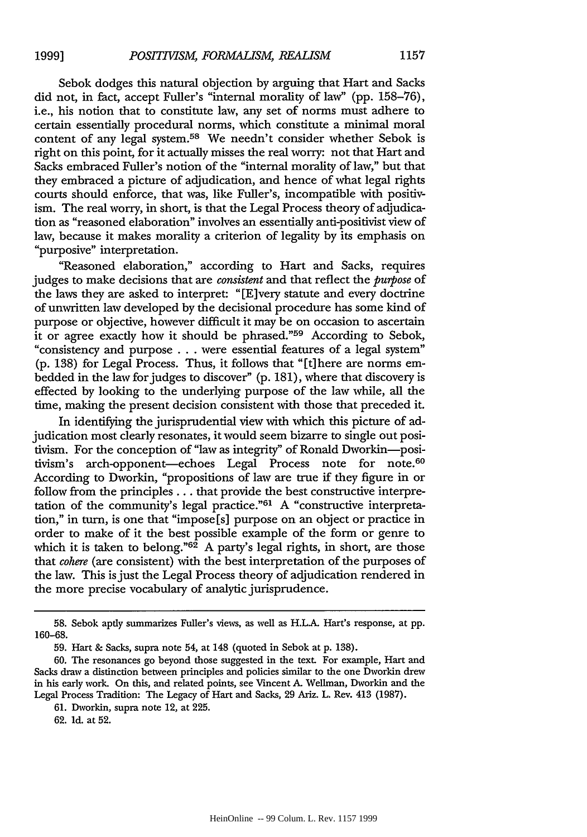Sebok dodges this natural objection by arguing that Hart and Sacks did not, in fact, accept Fuller's "internal morality of law" (pp. 158-76), i.e., his notion that to constitute law, any set of norms must adhere to certain essentially procedural norms, which constitute a minimal moral content of any legal system.58 We needn't consider whether Sebok is right on this point, for it actually misses the real worry: not that Hart and Sacks embraced Fuller's notion of the "internal morality of law," but that they embraced a picture of adjudication, and hence of what legal rights courts should enforce, that was, like Fuller's, incompatible with positivism. The real worry, in short, is that the Legal Process theory of adjudication as "reasoned elaboration" involves an essentially and-positivist view of law, because it makes morality a criterion of legality by its emphasis on "purposive" interpretation.

"Reasoned elaboration," according to Hart and Sacks, requires judges to make decisions that are *consistent* and that reflect the *purpose* of the laws they are asked to interpret: "[E]very statute and every doctrine of unwritten law developed by the decisional procedure has some kind of purpose or objective, however difficult it may be on occasion to ascertain it or agree exactly how it should be phrased."59 According to Sebok, "consistency and purpose . . . were essential features of a legal system" (p. 138) for Legal Process. Thus, it follows that "[t]here are norms embedded in the law for judges to discover" (p. 181), where that discovery is effected by looking to the underlying purpose of the law while, all the time, making the present decision consistent with those that preceded it.

In identifying the jurisprudential view with which this picture of adjudication most clearly resonates, it would seem bizarre to single out positivism. For the conception of "law as integrity" of Ronald Dworkin-positivism's arch-opponent-echoes Legal Process note for note.<sup>60</sup> According to Dworkin, "propositions of law are true if they figure in or follow from the principles.., that provide the best constructive interpretation of the community's legal practice." $61$  A "constructive interpretation," in turn, is one that "impose[s] purpose on an object or practice in order to make of it the best possible example of the form or genre to which it is taken to belong." $62$  A party's legal rights, in short, are those that *cohere* (are consistent) with the best interpretation of the purposes of the law. This is just the Legal Process theory of adjudication rendered in the more precise vocabulary of analytic jurisprudence.

<sup>58.</sup> Sebok aptly summarizes Fuller's views, as well as H.LA. Hart's response, at pp. 160-68.

<sup>59.</sup> Hart & Sacks, supra note 54, at 148 (quoted in Sebok at p. 138).

<sup>60.</sup> The resonances go beyond those suggested in the text. For example, Hart and Sacks draw a distinction between principles and policies similar to the one Dworkin drew in his early work. On this, and related points, see Vincent A. Wellman, Dworkin and the Legal Process Tradition: The Legacy of Hart and Sacks, 29 Ariz. L. Rev. 413 (1987).

<sup>61.</sup> Dworkin, supra note 12, at 225.

<sup>62.</sup> Id. at 52.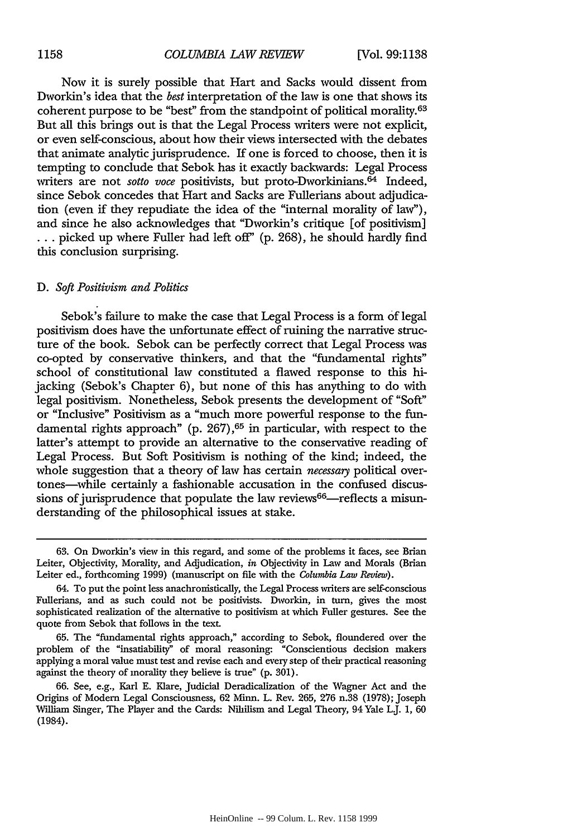Now it is surely possible that Hart and Sacks would dissent from Dworkin's idea that the *best* interpretation of the law is one that shows its coherent purpose to be "best" from the standpoint of political morality.63 But all this brings out is that the Legal Process writers were not explicit, or even self-conscious, about how their views intersected with the debates that animate analytic jurisprudence. If one is forced to choose, then it is tempting to conclude that Sebok has it exactly backwards: Legal Process writers are not *sotto voce* positivists, but proto-Dworkinians.<sup>64</sup> Indeed, since Sebok concedes that Hart and Sacks are Fullerians about adjudication (even if they repudiate the idea of the "internal morality of law"), and since he also acknowledges that "Dworkin's critique [of positivism] **...** picked up where Fuller had left off" (p. 268), he should hardly find this conclusion surprising.

#### *D. Soft Positivism and Politics*

Sebok's failure to make the case that Legal Process is a form of legal positivism does have the unfortunate effect of ruining the narrative structure of the book. Sebok can be perfectly correct that Legal Process was co-opted by conservative thinkers, and that the "fundamental rights" school of constitutional law constituted a flawed response to this hijacking (Sebok's Chapter 6), but none of this has anything to do with legal positivism. Nonetheless, Sebok presents the development of "Soft" or "Inclusive" Positivism as a "much more powerful response to the fundamental rights approach" (p. 267), $65$  in particular, with respect to the latter's attempt to provide an alternative to the conservative reading of Legal Process. But Soft Positivism is nothing of the kind; indeed, the whole suggestion that a theory of law has certain *necessary* political overtones-while certainly a fashionable accusation in the confused discussions of jurisprudence that populate the law reviews $66$ -reflects a misunderstanding of the philosophical issues at stake.

<sup>63.</sup> On Dworkin's view in this regard, and some of the problems it faces, see Brian Leiter, Objectivity, Morality, and Adjudication, *in* Objectivity in Law and Morals (Brian Leiter ed., forthcoming 1999) (manuscript on file with the *Columbia Law Review).*

<sup>64.</sup> To put the point less anachronistically, the Legal Process writers are self-conscious Fullerians, and as such could not be positivists. Dworkin, in turn, gives the most sophisticated realization of the alternative to positivism at which Fuller gestures. See the quote from Sebok that follows in the text.

<sup>65.</sup> The "fundamental rights approach," according to Sebok, floundered over the problem of the "insatiability" of moral reasoning: "Conscientious decision makers applying a moral value must test and revise each and every step of their practical reasoning against the theory of morality they believe is true" (p. 301).

<sup>66.</sup> See, e.g., Karl E. Klare, Judicial Deradicalization of the Wagner Act and the Origins of Modern Legal Consciousness, 62 Minn. L. Rev. 265, 276 n.38 (1978); Joseph William Singer, The Player and the Cards: Nihilism and Legal Theory, 94 Yale L.J. 1, 60 (1984).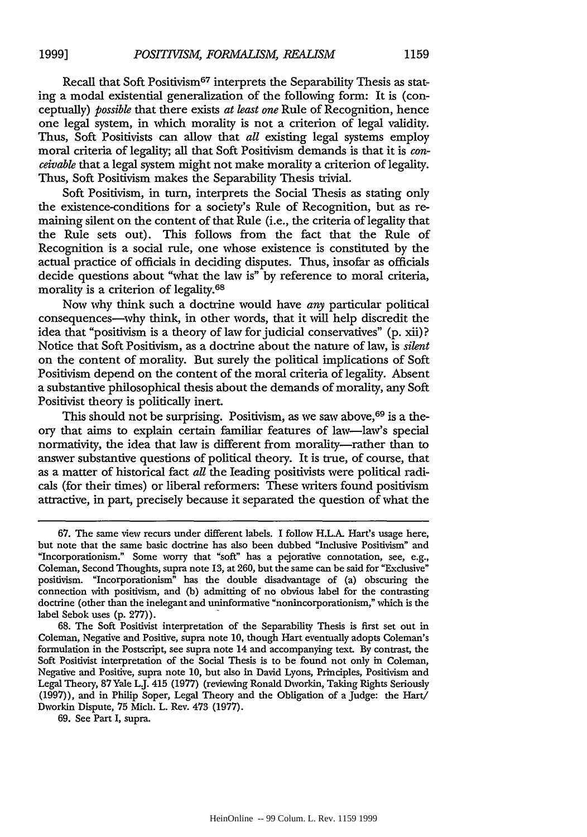Recall that Soft Positivism<sup>67</sup> interprets the Separability Thesis as stating a modal existential generalization of the following form: It is (conceptually) *possible* that there exists *at least one* Rule of Recognition, hence one legal system, in which morality is not a criterion of legal validity. Thus, Soft Positivists can allow that *all* existing legal systems employ moral criteria of legality; all that Soft Positivism demands is that it is *conceivable* that a legal system might not make morality a criterion of legality. Thus, Soft Positivism makes the Separability Thesis trivial.

Soft Positivism, in turn, interprets the Social Thesis as stating only the existence-conditions for a society's Rule of Recognition, but as remaining silent on the content of that Rule (i.e., the criteria of legality that the Rule sets out). This follows from the fact that the Rule of Recognition is a social rule, one whose existence is constituted by the actual practice of officials in deciding disputes. Thus, insofar as officials decide questions about "what the law is" by reference to moral criteria, morality is a criterion of legality.<sup>68</sup>

Now why think such a doctrine would have *any* particular political consequences-why think, in other words, that it will help discredit the idea that "positivism is a theory of law for judicial conservatives" (p. xii)? Notice that Soft Positivism, as a doctrine about the nature of law, is *silent* on the content of morality. But surely the political implications of Soft Positivism depend on the content of the moral criteria of legality. Absent a substantive philosophical thesis about the demands of morality, any Soft Positivist theory is politically inert.

This should not be surprising. Positivism, as we saw above,  $69$  is a theory that aims to explain certain familiar features of law-law's special normativity, the idea that law is different from morality-rather than to answer substantive questions of political theory. It is true, of course, that as a matter of historical fact *all* the leading positivists were political radicals (for their times) or liberal reformers: These writers found positivism attractive, in part, precisely because it separated the question of what the

69. See Part I, supra.

<sup>67.</sup> The same view recurs under different labels. I follow H.L.A. Hart's usage here, but note that the same basic doctrine has also been dubbed "Inclusive Positivism" and "Incorporationism." Some worry that "soft" has a pejorative connotation, see, e.g., Coleman, Second Thoughts, supra note 13, at 260, but the same can be said for "Exclusive" positivism. "Incorporationism" has the double disadvantage of (a) obscuring the connection with positivism, and (b) admitting of no obvious label for the contrasting doctrine (other than the inelegant and uninformative "nonincorporationism," which is the label Sebok uses (p. 277)).

<sup>68.</sup> The Soft Positivist interpretation of the Separability Thesis is first set out in Coleman, Negative and Positive, supra note 10, though Hart eventually adopts Coleman's formulation in the Postscript, see supra note 14 and accompanying text. By contrast, the Soft Positivist interpretation of the Social Thesis is to be found not only in Coleman, Negative and Positive, supra note 10, but also in David Lyons, Principles, Positivism and Legal Theory, 87 Yale LJ. 415 (1977) (reviewing Ronald Dworkin, Taking Rights Seriously (1997)), and in Philip Soper, Legal Theory and the Obligation of a Judge: the Hart/ Dworkin Dispute, 75 Mich. L. Rev. 473 (1977).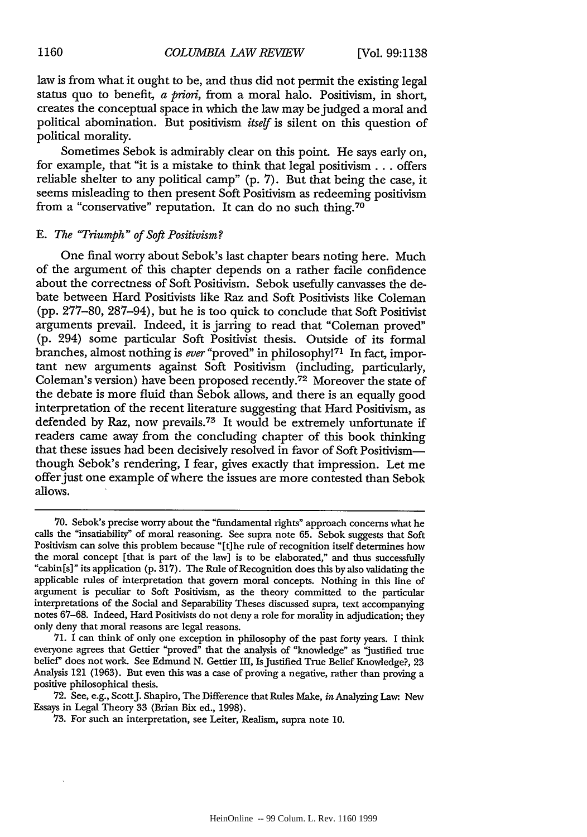law is from what it ought to be, and thus did not permit the existing legal status quo to benefit, *a* priori, from a moral halo. Positivism, in short, creates the conceptual space in which the law may be judged a moral and political abomination. But positivism *itself* is silent on this question of political morality.

Sometimes Sebok is admirably clear on this point. He says early on, for example, that "it is a mistake to think that legal positivism.., offers reliable shelter to any political camp" (p. 7). But that being the case, it seems misleading to then present Soft Positivism as redeeming positivism from a "conservative" reputation. It can do no such thing.<sup>70</sup>

#### *E. The "Triumph" of Soft Positivism?*

One final worry about Sebok's last chapter bears noting here. Much of the argument of this chapter depends on a rather facile confidence about the correctness of Soft Positivism. Sebok usefully canvasses the debate between Hard Positivists like Raz and Soft Positivists like Coleman (pp. 277-80, 287-94), but he is too quick to conclude that Soft Positivist arguments prevail. Indeed, it is jarring to read that "Coleman proved" (p. 294) some particular Soft Positivist thesis. Outside of its formal branches, almost nothing is *ever* "proved" in philosophy!71 In fact, important new arguments against Soft Positivism (including, particularly, Coleman's version) have been proposed recently. 72 Moreover the state of the debate is more fluid than Sebok allows, and there is an equally good interpretation of the recent literature suggesting that Hard Positivism, as defended **by** Raz, now prevails. 73 It would be extremely unfortunate if readers came away from the concluding chapter of this book thinking that these issues had been decisively resolved in favor of Soft Positivismthough Sebok's rendering, I fear, gives exactly that impression. Let me offer just one example of where the issues are more contested than Sebok allows.

71. I can think of only one exception in philosophy of the past forty years. I think everyone agrees that Gettier "proved" that the analysis of "knowledge" as "justified true belief" does not work. See Edmund N. Gettier III, Is Justified True Belief Knowledge?, 23 Analysis 121 (1963). But even this was a case of proving a negative, rather than proving a positive philosophical thesis.

72. See, e.g., ScottJ. Shapiro, The Difference that Rules Make, *in* Analyzing Law- New Essays in Legal Theory **33** (Brian Bix ed., 1998).

<sup>70.</sup> Sebok's precise worry about the "fundamental rights" approach concerns what he calls the "insatiability" of moral reasoning. See supra note 65. Sebok suggests that Soft Positivism can solve this problem because "[t]he rule of recognition itself determines how the moral concept [that is part of the law] is to be elaborated," and thus successfully "cabin[s]" its application (p. 317). The Rule of Recognition does this by also validating the applicable rules of interpretation that govern moral concepts. Nothing in this line of argument is peculiar to Soft Positivism, as the theory committed to the particular interpretations of the Social and Separability Theses discussed supra, text accompanying notes 67-68. Indeed, Hard Positivists do not deny a role for morality in adjudication; they only deny that moral reasons are legal reasons.

<sup>73.</sup> For such an interpretation, see Leiter, Realism, supra note 10.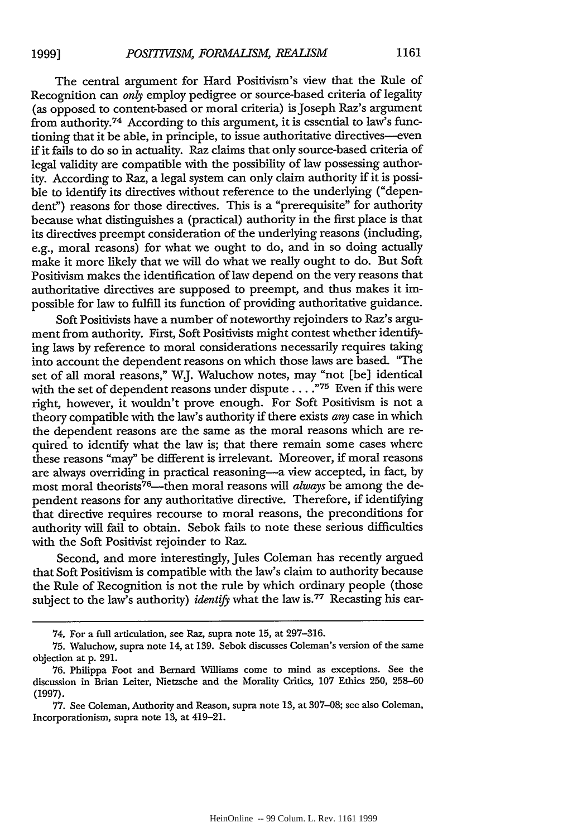The central argument for Hard Positivism's view that the Rule of Recognition can *only* employ pedigree or source-based criteria of legality (as opposed to content-based or moral criteria) is Joseph Raz's argument from authority.74 According to this argument, it is essential to law's functioning that it be able, in principle, to issue authoritative directives-even if it fails to do so in actuality. Raz claims that only source-based criteria of legal validity are compatible with the possibility of law possessing authority. According to Raz, a legal system can only claim authority if it is possible to identify its directives without reference to the underlying ("dependent") reasons for those directives. This is a "prerequisite" for authority because what distinguishes a (practical) authority in the first place is that its directives preempt consideration of the underlying reasons (including, e.g., moral reasons) for what we ought to do, and in so doing actually make it more likely that we will do what we really ought to do. But Soft Positivism makes the identification of law depend on the very reasons that authoritative directives are supposed to preempt, and thus makes it impossible for law to fulfill its function of providing authoritative guidance.

Soft Positivists have a number of noteworthy rejoinders to Raz's argument from authority. First, Soft Positivists might contest whether identifying laws by reference to moral considerations necessarily requires taking into account the dependent reasons on which those laws are based. "The set of all moral reasons," W.J. Waluchow notes, may "not [be] identical with the set of dependent reasons under dispute .... **"75** Even if this were right, however, it wouldn't prove enough. For Soft Positivism is not a theory compatible with the law's authority if there exists *any* case in which the dependent reasons are the same as the moral reasons which are required to identify what the law is; that there remain some cases where these reasons "may" be different is irrelevant. Moreover, if moral reasons are always overriding in practical reasoning-a view accepted, in fact, by most moral theorists<sup>76</sup>—then moral reasons will *always* be among the dependent reasons for any authoritative directive. Therefore, if identifying that directive requires recourse to moral reasons, the preconditions for authority will fail to obtain. Sebok fails to note these serious difficulties with the Soft Positivist rejoinder to Raz.

Second, and more interestingly, Jules Coleman has recently argued that Soft Positivism is compatible with the law's claim to authority because the Rule of Recognition is not the rule by which ordinary people (those subject to the law's authority) *identify* what the law is.<sup>77</sup> Recasting his ear-

<sup>74.</sup> For a full articulation, see Raz, supra note 15, at 297-316.

<sup>75.</sup> Waluchow, supra note 14, at 139. Sebok discusses Coleman's version of the same objection at p. 291.

<sup>76.</sup> Philippa Foot and Bernard Williams come to mind as exceptions. See the discussion in Brian Leiter, Nietzsche and the Morality Critics, 107 Ethics 250, 258-60 (1997).

<sup>77.</sup> See Coleman, Authority and Reason, supra note 13, at 307-08; see also Coleman, Incorporationism, supra note **13,** at 419-21.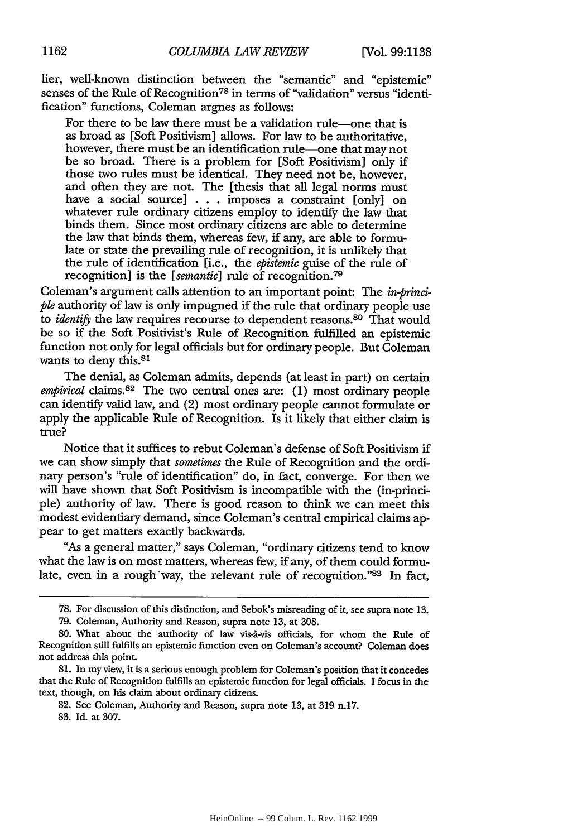lier, well-known distinction between the "semantic" and "epistemic" senses of the Rule of Recognition<sup>78</sup> in terms of "validation" versus "identification" functions, Coleman argnes as follows:

For there to be law there must be a validation rule-one that is as broad as [Soft Positivism] allows. For law to be authoritative, however, there must be an identification rule—one that may not be so broad. There is a problem for [Soft Positivism] only if those two rules must be identical. They need not be, however, and often they are not. The [thesis that all legal norms must have a social source] . . . imposes a constraint [only] on whatever rule ordinary citizens employ to identify the law that binds them. Since most ordinary citizens are able to determine the law that binds them, whereas few, if any, are able to formulate or state the prevailing rule of recognition, it is unlikely that the rule of identification [i.e., the *epistemic* guise of the rule of recognition] is the *[semantic]* rule of recognition. <sup>79</sup>

Coleman's argument calls attention to an important point: The *in-principie* authority of law is only impugned if the rule that ordinary people use to *identify* the law requires recourse to dependent reasons.<sup>80</sup> That would be so if the Soft Positivist's Rule of Recognition fulfilled an epistemic function not only for legal officials but for ordinary people. But Coleman wants to deny this.<sup>81</sup>

The denial, as Coleman admits, depends (at least in part) on certain *empirical* claims.<sup>82</sup> The two central ones are: (1) most ordinary people can identify valid law, and (2) most ordinary people cannot formulate or apply the applicable Rule of Recognition. Is it likely that either claim is true?

Notice that it suffices to rebut Coleman's defense of Soft Positivism if we can show simply that *sometimes* the Rule of Recognition and the ordinary person's "rule of identification" do, in fact, converge. For then we will have shown that Soft Positivism is incompatible with the (in-principle) authority of law. There is good reason to think we can meet this modest evidentiary demand, since Coleman's central empirical claims appear to get matters exactly backwards.

"As a general matter," says Coleman, "ordinary citizens tend to know what the law is on most matters, whereas few, if any, of them could formulate, even in a rough way, the relevant rule of recognition."<sup>83</sup> In fact,

<sup>78.</sup> For discussion of this distinction, and Sebok's misreading of it, see supra note 13.

<sup>79.</sup> Coleman, Authority and Reason, supra note 13, at 308.

**<sup>80.</sup>** What about the authority of law vis-a-vis officials, for whom the Rule of Recognition still fulfills an epistemic function even on Coleman's account? Coleman does not address this point.

<sup>81.</sup> In my view, it is a serious enough problem for Coleman's position that it concedes that the Rule of Recognition fulfills an epistemic function for legal officials. I focus in the text, though, on his claim about ordinary citizens.

<sup>82.</sup> See Coleman, Authority and Reason, supra note 13, at 319 n.17.

<sup>83.</sup> Id. at 307.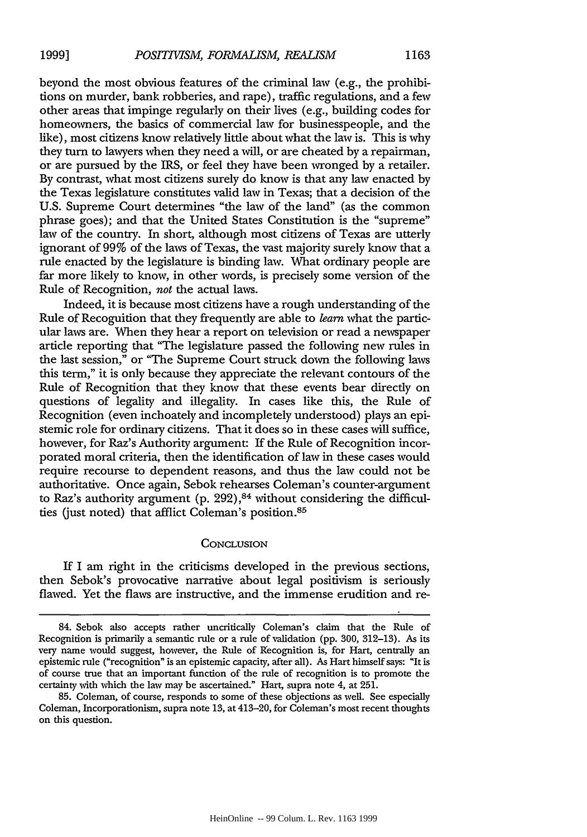beyond the most obvious features of the criminal law (e.g., the prohibitions on murder, bank robberies, and rape), traffic regulations, and a few other areas that impinge regularly on their lives (e.g., building codes for homeowners, the basics of commercial law for businesspeople, and the like), most citizens know relatively little about what the law is. This is why they turn to lawyers when they need a will, or are cheated by a repairman, or are pursued by the IRS, or feel they have been wronged by a retailer. By contrast, what most citizens surely do know is that any law enacted by the Texas legislature constitutes valid law in Texas; that a decision of the U.S. Supreme Court determines "the law of the land" (as the common phrase goes); and that the United States Constitution is the "supreme" law of the country. In short, although most citizens of Texas are utterly ignorant of 99% of the laws of Texas, the vast majority surely know that a rule enacted by the legislature is binding law. What ordinary people are far more likely to know, in other words, is precisely some version of the Rule of Recognition, *not* the actual laws.

Indeed, it is because most citizens have a rough understanding of the Rule of Recognition that they frequently are able to *learn* what the particular laws are. When they hear a report on television or read a newspaper article reporting that "The legislature passed the following new rules in the last session," or "The Supreme Court struck down the following laws this term," it is only because they appreciate the relevant contours of the Rule of Recognition that they know that these events bear directly on questions of legality and illegality. In cases like this, the Rule of Recognition (even inchoately and incompletely understood) plays an epistemic role for ordinary citizens. That it does so in these cases will suffice, however, for Raz's Authority argument: If the Rule of Recognition incorporated moral criteria, then the identification of law in these cases would require recourse to dependent reasons, and thus the law could not be authoritative. Once again, Sebok rehearses Coleman's counter-argument to Raz's authority argument (p.  $292$ ),  $84$  without considering the difficulties (just noted) that afflict Coleman's position.<sup>85</sup>

#### **CONCLUSION**

If I am right in the criticisms developed in the previous sections, then Sebok's provocative narrative about legal positivism is seriously flawed. Yet the flaws are instructive, and the immense erudition and re-

<sup>84.</sup> Sebok also accepts rather uncritically Coleman's claim that the Rule of Recognition is primarily a semantic rule or a rule of validation (pp. 300, 312-13). As its very name would suggest, however, the Rule of Recognition is, for Hart, centrally an epistemic rule ("recognition" is an epistemic capacity, after all). As Hart himself says: "It is of course true that an important function of the rule of recognition is to promote the certainty with which the law may be ascertained." Hart, supra note 4, at 251.

<sup>85.</sup> Coleman, of course, responds to some of these objections as well. See especially Coleman, Incorporationism, supra note 13, at 413-20, for Coleman's most recent thoughts on this question.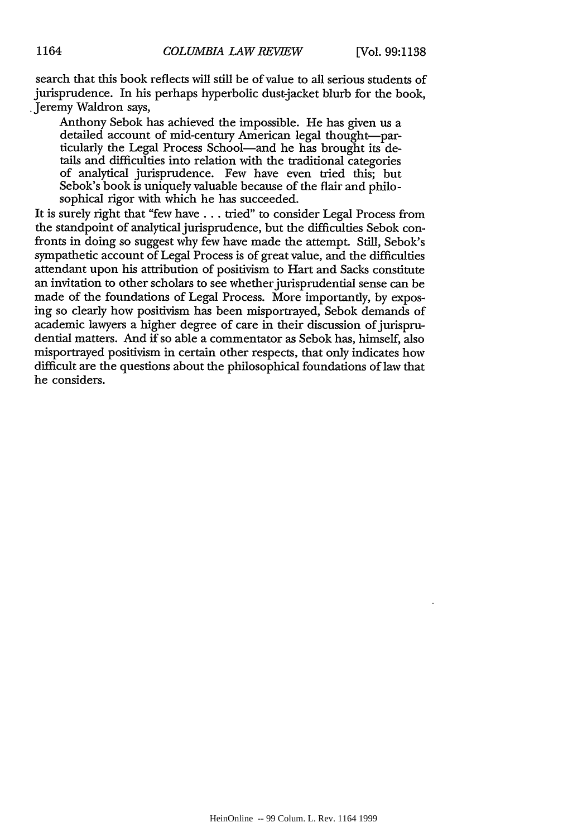search that this book reflects will still be of value to all serious students of jurisprudence. In his perhaps hyperbolic dust-jacket blurb for the book, Jeremy Waldron says,

Anthony Sebok has achieved the impossible. He has given us a detailed account of mid-century American legal thought-particularly the Legal Process School-and he has brought its details and difficulties into relation with the traditional categories of analytical jurisprudence. Few have even tried this; but Sebok's book is uniquely valuable because of the flair and philosophical rigor with which he has succeeded.

It is surely right that "few have... tried" to consider Legal Process from the standpoint of analytical jurisprudence, but the difficulties Sebok confronts in doing so suggest why few have made the attempt. Still, Sebok's sympathetic account of Legal Process is of great value, and the difficulties attendant upon his attribution of positivism to Hart and Sacks constitute an invitation to other scholars to see whether jurisprudential sense can be made of the foundations of Legal Process. More importantly, by exposing so clearly how positivism has been misportrayed, Sebok demands of academic lawyers a higher degree of care in their discussion of jurisprudential matters. And if so able a commentator as Sebok has, himself, also misportrayed positivism in certain other respects, that only indicates how difficult are the questions about the philosophical foundations of law that he considers.